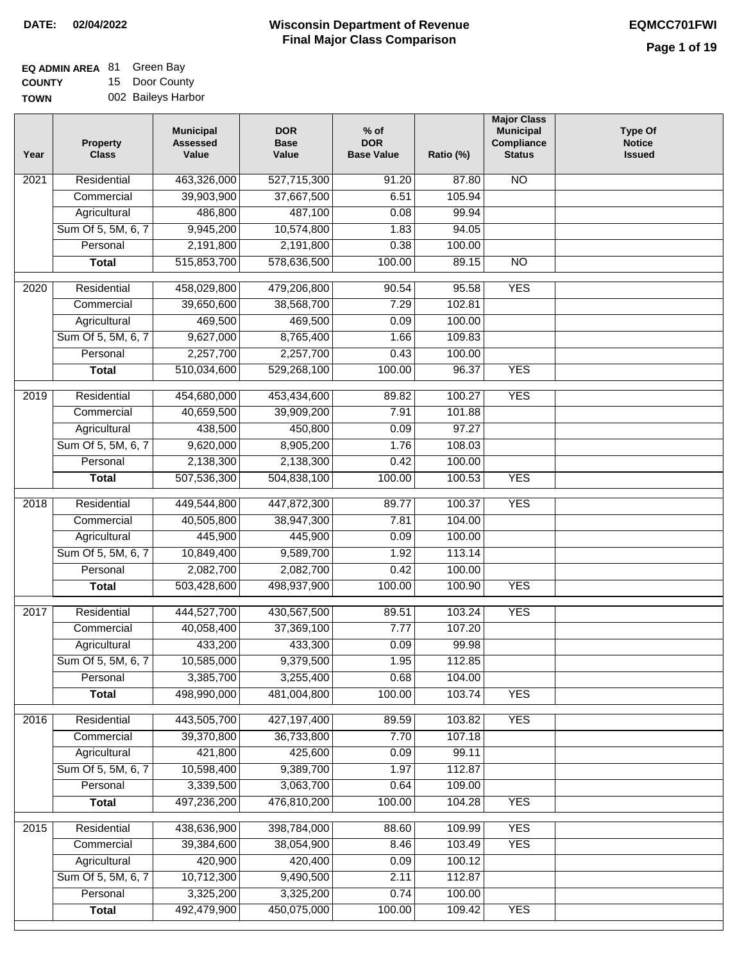### **EQ ADMIN AREA** 81 Green Bay **COUNTY** 15 Door County

**TOWN** 002 Baileys Harbor

| Year              | <b>Property</b><br><b>Class</b> | <b>Municipal</b><br><b>Assessed</b><br>Value | <b>DOR</b><br><b>Base</b><br>Value | $%$ of<br><b>DOR</b><br><b>Base Value</b> | Ratio (%)        | <b>Major Class</b><br><b>Municipal</b><br>Compliance<br><b>Status</b> | <b>Type Of</b><br><b>Notice</b><br><b>Issued</b> |
|-------------------|---------------------------------|----------------------------------------------|------------------------------------|-------------------------------------------|------------------|-----------------------------------------------------------------------|--------------------------------------------------|
| $\overline{202}1$ | Residential                     | 463,326,000                                  | 527,715,300                        | 91.20                                     | 87.80            | $\overline{NO}$                                                       |                                                  |
|                   | Commercial                      | 39,903,900                                   | 37,667,500                         | 6.51                                      | 105.94           |                                                                       |                                                  |
|                   | Agricultural                    | 486,800                                      | 487,100                            | 0.08                                      | 99.94            |                                                                       |                                                  |
|                   | Sum Of 5, 5M, 6, 7              | 9,945,200                                    | 10,574,800                         | 1.83                                      | 94.05            |                                                                       |                                                  |
|                   | Personal                        | 2,191,800                                    | 2,191,800                          | 0.38                                      | 100.00           |                                                                       |                                                  |
|                   | <b>Total</b>                    | 515,853,700                                  | 578,636,500                        | 100.00                                    | 89.15            | <b>NO</b>                                                             |                                                  |
| 2020              | Residential                     | 458,029,800                                  | 479,206,800                        | 90.54                                     | 95.58            | <b>YES</b>                                                            |                                                  |
|                   | Commercial                      | 39,650,600                                   | 38,568,700                         | 7.29                                      | 102.81           |                                                                       |                                                  |
|                   | Agricultural                    | 469,500                                      | 469,500                            | 0.09                                      | 100.00           |                                                                       |                                                  |
|                   | Sum Of 5, 5M, 6, 7              | 9,627,000                                    | 8,765,400                          | 1.66                                      | 109.83           |                                                                       |                                                  |
|                   | Personal                        | 2,257,700                                    | 2,257,700                          | 0.43                                      | 100.00           |                                                                       |                                                  |
|                   | <b>Total</b>                    | 510,034,600                                  | 529,268,100                        | 100.00                                    | 96.37            | <b>YES</b>                                                            |                                                  |
| 2019              | Residential                     | 454,680,000                                  | 453,434,600                        | 89.82                                     | 100.27           | <b>YES</b>                                                            |                                                  |
|                   | Commercial                      | 40,659,500                                   | 39,909,200                         | 7.91                                      | 101.88           |                                                                       |                                                  |
|                   | Agricultural                    | 438,500                                      | 450,800                            | 0.09                                      | 97.27            |                                                                       |                                                  |
|                   | Sum Of 5, 5M, 6, 7              | 9,620,000                                    | 8,905,200                          | 1.76                                      | 108.03           |                                                                       |                                                  |
|                   | Personal                        | 2,138,300                                    | 2,138,300                          | 0.42                                      | 100.00           |                                                                       |                                                  |
|                   | <b>Total</b>                    | 507,536,300                                  | 504,838,100                        | 100.00                                    | 100.53           | <b>YES</b>                                                            |                                                  |
|                   |                                 |                                              |                                    |                                           |                  |                                                                       |                                                  |
| 2018              | Residential                     | 449,544,800                                  | 447,872,300                        | 89.77                                     | 100.37           | <b>YES</b>                                                            |                                                  |
|                   | Commercial                      | 40,505,800                                   | 38,947,300                         | 7.81                                      | 104.00           |                                                                       |                                                  |
|                   | Agricultural                    | 445,900                                      | 445,900                            | 0.09                                      | 100.00           |                                                                       |                                                  |
|                   | Sum Of 5, 5M, 6, 7              | 10,849,400                                   | 9,589,700                          | 1.92                                      | 113.14           |                                                                       |                                                  |
|                   | Personal                        | 2,082,700<br>503,428,600                     | 2,082,700<br>498,937,900           | 0.42<br>100.00                            | 100.00<br>100.90 | <b>YES</b>                                                            |                                                  |
|                   | <b>Total</b>                    |                                              |                                    |                                           |                  |                                                                       |                                                  |
| 2017              | Residential                     | 444,527,700                                  | 430,567,500                        | 89.51                                     | 103.24           | <b>YES</b>                                                            |                                                  |
|                   | Commercial                      | 40,058,400                                   | 37,369,100                         | 7.77                                      | 107.20           |                                                                       |                                                  |
|                   | Agricultural                    | 433,200                                      | 433,300                            | 0.09                                      | 99.98            |                                                                       |                                                  |
|                   | Sum Of 5, 5M, 6, 7              | 10,585,000                                   | 9,379,500                          | 1.95                                      | 112.85           |                                                                       |                                                  |
|                   | Personal                        | 3,385,700                                    | 3,255,400                          | 0.68                                      | 104.00           |                                                                       |                                                  |
|                   | <b>Total</b>                    | 498,990,000                                  | 481,004,800                        | 100.00                                    | 103.74           | <b>YES</b>                                                            |                                                  |
| 2016              | Residential                     | 443,505,700                                  | 427, 197, 400                      | 89.59                                     | 103.82           | <b>YES</b>                                                            |                                                  |
|                   | Commercial                      | 39,370,800                                   | 36,733,800                         | 7.70                                      | 107.18           |                                                                       |                                                  |
|                   | Agricultural                    | 421,800                                      | 425,600                            | 0.09                                      | 99.11            |                                                                       |                                                  |
|                   | Sum Of 5, 5M, 6, 7              | 10,598,400                                   | 9,389,700                          | 1.97                                      | 112.87           |                                                                       |                                                  |
|                   | Personal                        | 3,339,500                                    | 3,063,700                          | 0.64                                      | 109.00           |                                                                       |                                                  |
|                   | <b>Total</b>                    | 497,236,200                                  | 476,810,200                        | 100.00                                    | 104.28           | <b>YES</b>                                                            |                                                  |
| 2015              | Residential                     | 438,636,900                                  | 398,784,000                        | 88.60                                     | 109.99           | <b>YES</b>                                                            |                                                  |
|                   | Commercial                      | 39,384,600                                   | 38,054,900                         | 8.46                                      | 103.49           | <b>YES</b>                                                            |                                                  |
|                   | Agricultural                    | 420,900                                      | 420,400                            | 0.09                                      | 100.12           |                                                                       |                                                  |
|                   | Sum Of 5, 5M, 6, 7              | 10,712,300                                   | 9,490,500                          | 2.11                                      | 112.87           |                                                                       |                                                  |
|                   | Personal                        | 3,325,200                                    | 3,325,200                          | 0.74                                      | 100.00           |                                                                       |                                                  |
|                   | <b>Total</b>                    | 492,479,900                                  | 450,075,000                        | 100.00                                    | 109.42           | <b>YES</b>                                                            |                                                  |
|                   |                                 |                                              |                                    |                                           |                  |                                                                       |                                                  |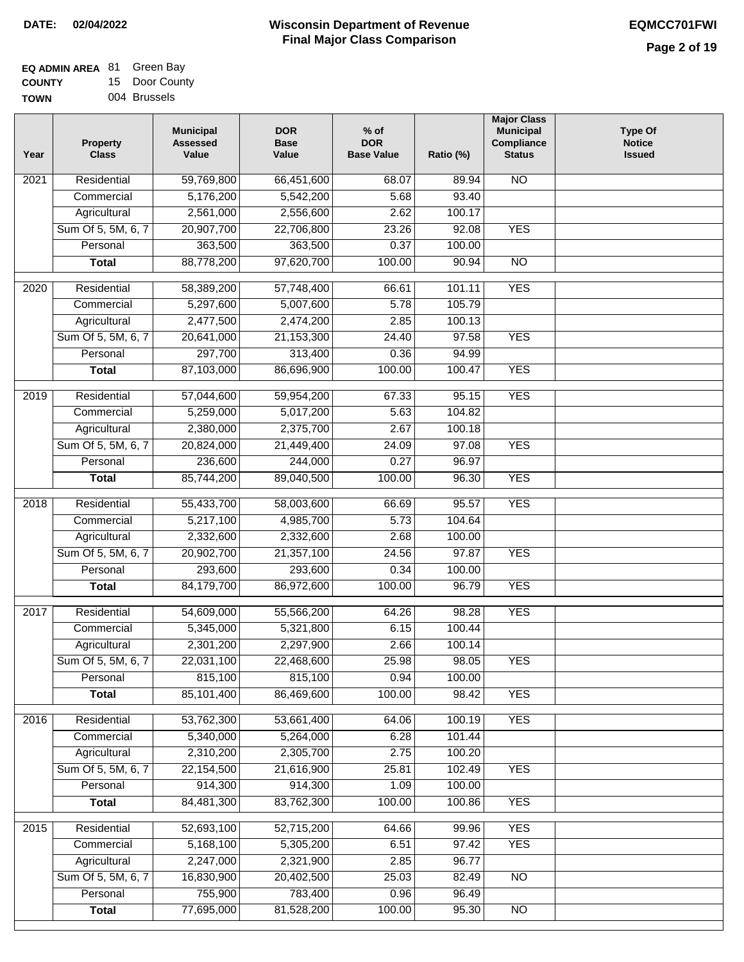$\Box$ 

| <b>EQ ADMIN AREA 81 Green Bay</b> |                |
|-----------------------------------|----------------|
| <b>COUNTY</b>                     | 15 Door County |
| <b>TOWN</b>                       | 004 Brussels   |

| Year | <b>Property</b><br><b>Class</b> | <b>Municipal</b><br><b>Assessed</b><br>Value | <b>DOR</b><br><b>Base</b><br>Value | $%$ of<br><b>DOR</b><br><b>Base Value</b> | Ratio (%) | <b>Major Class</b><br><b>Municipal</b><br>Compliance<br><b>Status</b> | <b>Type Of</b><br><b>Notice</b><br><b>Issued</b> |
|------|---------------------------------|----------------------------------------------|------------------------------------|-------------------------------------------|-----------|-----------------------------------------------------------------------|--------------------------------------------------|
| 2021 | Residential                     | 59,769,800                                   | 66,451,600                         | 68.07                                     | 89.94     | <b>NO</b>                                                             |                                                  |
|      | Commercial                      | 5,176,200                                    | 5,542,200                          | 5.68                                      | 93.40     |                                                                       |                                                  |
|      | Agricultural                    | 2,561,000                                    | 2,556,600                          | 2.62                                      | 100.17    |                                                                       |                                                  |
|      | Sum Of 5, 5M, 6, 7              | 20,907,700                                   | 22,706,800                         | 23.26                                     | 92.08     | <b>YES</b>                                                            |                                                  |
|      | Personal                        | 363,500                                      | 363,500                            | 0.37                                      | 100.00    |                                                                       |                                                  |
|      | <b>Total</b>                    | 88,778,200                                   | 97,620,700                         | 100.00                                    | 90.94     | $\overline{NO}$                                                       |                                                  |
| 2020 | Residential                     | 58,389,200                                   | 57,748,400                         | 66.61                                     | 101.11    | <b>YES</b>                                                            |                                                  |
|      | Commercial                      | 5,297,600                                    | 5,007,600                          | 5.78                                      | 105.79    |                                                                       |                                                  |
|      | Agricultural                    | 2,477,500                                    | 2,474,200                          | 2.85                                      | 100.13    |                                                                       |                                                  |
|      | Sum Of 5, 5M, 6, 7              | 20,641,000                                   | 21, 153, 300                       | 24.40                                     | 97.58     | <b>YES</b>                                                            |                                                  |
|      | Personal                        | 297,700                                      | 313,400                            | 0.36                                      | 94.99     |                                                                       |                                                  |
|      | <b>Total</b>                    | 87,103,000                                   | 86,696,900                         | 100.00                                    | 100.47    | <b>YES</b>                                                            |                                                  |
|      |                                 |                                              |                                    |                                           |           |                                                                       |                                                  |
| 2019 | Residential                     | 57,044,600                                   | 59,954,200                         | 67.33                                     | 95.15     | <b>YES</b>                                                            |                                                  |
|      | Commercial                      | 5,259,000                                    | 5,017,200                          | 5.63                                      | 104.82    |                                                                       |                                                  |
|      | Agricultural                    | 2,380,000                                    | 2,375,700                          | 2.67                                      | 100.18    |                                                                       |                                                  |
|      | Sum Of 5, 5M, 6, 7              | 20,824,000                                   | 21,449,400                         | 24.09                                     | 97.08     | <b>YES</b>                                                            |                                                  |
|      | Personal                        | 236,600                                      | 244,000                            | 0.27                                      | 96.97     |                                                                       |                                                  |
|      | <b>Total</b>                    | 85,744,200                                   | 89,040,500                         | 100.00                                    | 96.30     | <b>YES</b>                                                            |                                                  |
| 2018 | Residential                     | 55,433,700                                   | 58,003,600                         | 66.69                                     | 95.57     | <b>YES</b>                                                            |                                                  |
|      | Commercial                      | 5,217,100                                    | 4,985,700                          | 5.73                                      | 104.64    |                                                                       |                                                  |
|      | Agricultural                    | 2,332,600                                    | 2,332,600                          | 2.68                                      | 100.00    |                                                                       |                                                  |
|      | Sum Of 5, 5M, 6, 7              | 20,902,700                                   | 21,357,100                         | 24.56                                     | 97.87     | <b>YES</b>                                                            |                                                  |
|      | Personal                        | 293,600                                      | 293,600                            | 0.34                                      | 100.00    |                                                                       |                                                  |
|      | <b>Total</b>                    | 84,179,700                                   | 86,972,600                         | 100.00                                    | 96.79     | <b>YES</b>                                                            |                                                  |
| 2017 | Residential                     | 54,609,000                                   | 55,566,200                         | 64.26                                     | 98.28     | <b>YES</b>                                                            |                                                  |
|      | Commercial                      | 5,345,000                                    | 5,321,800                          | 6.15                                      | 100.44    |                                                                       |                                                  |
|      | Agricultural                    | 2,301,200                                    | 2,297,900                          | 2.66                                      | 100.14    |                                                                       |                                                  |
|      | Sum Of 5, 5M, 6, 7              | 22,031,100                                   | 22,468,600                         | 25.98                                     | 98.05     | <b>YES</b>                                                            |                                                  |
|      | Personal                        | 815,100                                      | 815,100                            | 0.94                                      | 100.00    |                                                                       |                                                  |
|      | <b>Total</b>                    | 85,101,400                                   | 86,469,600                         | 100.00                                    | 98.42     | <b>YES</b>                                                            |                                                  |
| 2016 | Residential                     |                                              | 53,661,400                         | 64.06                                     | 100.19    | <b>YES</b>                                                            |                                                  |
|      |                                 | 53,762,300                                   |                                    |                                           |           |                                                                       |                                                  |
|      | Commercial                      | 5,340,000                                    | 5,264,000<br>2,305,700             | 6.28                                      | 101.44    |                                                                       |                                                  |
|      | Agricultural                    | 2,310,200                                    | 21,616,900                         | 2.75                                      | 100.20    |                                                                       |                                                  |
|      | Sum Of 5, 5M, 6, 7              | 22,154,500                                   |                                    | 25.81                                     | 102.49    | <b>YES</b>                                                            |                                                  |
|      | Personal                        | 914,300                                      | 914,300                            | 1.09                                      | 100.00    |                                                                       |                                                  |
|      | <b>Total</b>                    | 84,481,300                                   | 83,762,300                         | 100.00                                    | 100.86    | <b>YES</b>                                                            |                                                  |
| 2015 | Residential                     | 52,693,100                                   | 52,715,200                         | 64.66                                     | 99.96     | <b>YES</b>                                                            |                                                  |
|      | Commercial                      | 5,168,100                                    | 5,305,200                          | 6.51                                      | 97.42     | <b>YES</b>                                                            |                                                  |
|      | Agricultural                    | 2,247,000                                    | 2,321,900                          | 2.85                                      | 96.77     |                                                                       |                                                  |
|      | Sum Of 5, 5M, 6, 7              | 16,830,900                                   | 20,402,500                         | 25.03                                     | 82.49     | <b>NO</b>                                                             |                                                  |
|      | Personal                        | 755,900                                      | 783,400                            | 0.96                                      | 96.49     |                                                                       |                                                  |
|      | <b>Total</b>                    | 77,695,000                                   | 81,528,200                         | 100.00                                    | 95.30     | $\overline{NO}$                                                       |                                                  |
|      |                                 |                                              |                                    |                                           |           |                                                                       |                                                  |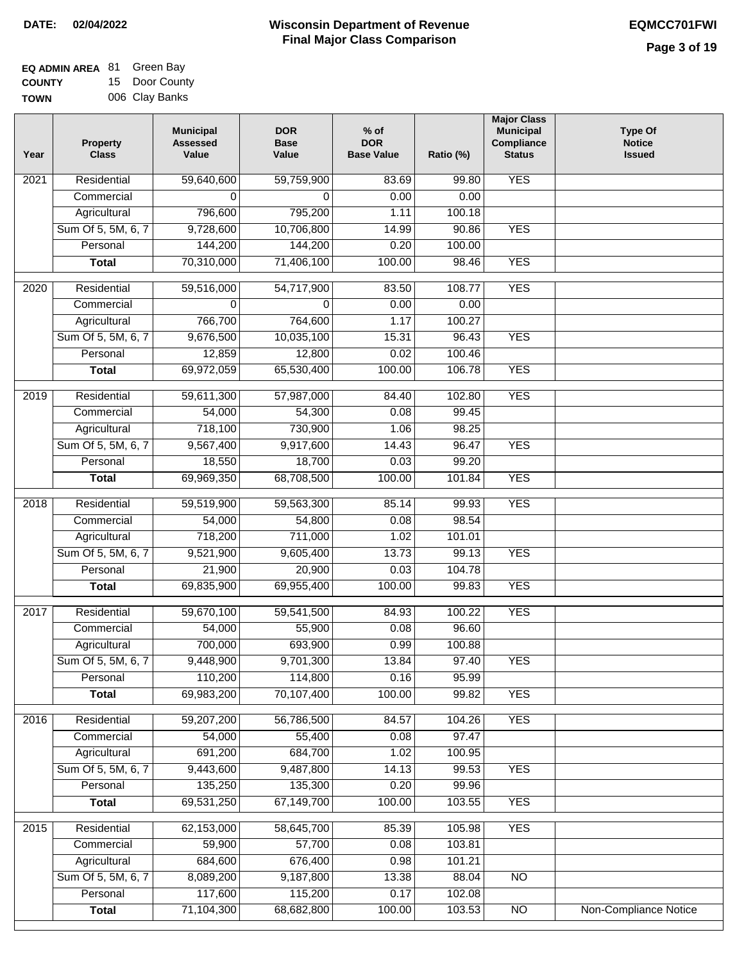| <b>EQ ADMIN AREA 81 Green Bay</b> |                |
|-----------------------------------|----------------|
| <b>COUNTY</b>                     | 15 Door County |
| <b>TOWN</b>                       | 006 Clay Banks |

| Year | <b>Property</b><br><b>Class</b> | <b>Municipal</b><br><b>Assessed</b><br>Value | <b>DOR</b><br><b>Base</b><br>Value | $%$ of<br><b>DOR</b><br><b>Base Value</b> | Ratio (%)        | <b>Major Class</b><br><b>Municipal</b><br>Compliance<br><b>Status</b> | <b>Type Of</b><br><b>Notice</b><br><b>Issued</b> |
|------|---------------------------------|----------------------------------------------|------------------------------------|-------------------------------------------|------------------|-----------------------------------------------------------------------|--------------------------------------------------|
| 2021 | Residential                     | 59,640,600                                   | 59,759,900                         | 83.69                                     | 99.80            | <b>YES</b>                                                            |                                                  |
|      | Commercial                      | 0                                            | $\Omega$                           | 0.00                                      | 0.00             |                                                                       |                                                  |
|      | Agricultural                    | 796,600                                      | 795,200                            | 1.11                                      | 100.18           |                                                                       |                                                  |
|      | Sum Of 5, 5M, 6, 7              | 9,728,600                                    | 10,706,800                         | 14.99                                     | 90.86            | <b>YES</b>                                                            |                                                  |
|      | Personal                        | 144,200                                      | 144,200                            | 0.20                                      | 100.00           |                                                                       |                                                  |
|      | <b>Total</b>                    | 70,310,000                                   | 71,406,100                         | 100.00                                    | 98.46            | <b>YES</b>                                                            |                                                  |
| 2020 | Residential                     | 59,516,000                                   | 54,717,900                         | 83.50                                     | 108.77           | <b>YES</b>                                                            |                                                  |
|      | Commercial                      | 0                                            | 0                                  | 0.00                                      | 0.00             |                                                                       |                                                  |
|      | Agricultural                    | 766,700                                      | 764,600                            | 1.17                                      | 100.27           |                                                                       |                                                  |
|      | Sum Of 5, 5M, 6, 7              | 9,676,500                                    | 10,035,100                         | 15.31                                     | 96.43            | <b>YES</b>                                                            |                                                  |
|      | Personal                        | 12,859                                       | 12,800                             | 0.02                                      | 100.46           |                                                                       |                                                  |
|      | <b>Total</b>                    | 69,972,059                                   | 65,530,400                         | 100.00                                    | 106.78           | <b>YES</b>                                                            |                                                  |
|      |                                 |                                              |                                    |                                           |                  |                                                                       |                                                  |
| 2019 | Residential                     | 59,611,300                                   | 57,987,000                         | 84.40                                     | 102.80           | <b>YES</b>                                                            |                                                  |
|      | Commercial                      | 54,000                                       | 54,300                             | 0.08                                      | 99.45            |                                                                       |                                                  |
|      | Agricultural                    | 718,100                                      | 730,900                            | 1.06                                      | 98.25            |                                                                       |                                                  |
|      | Sum Of 5, 5M, 6, 7              | 9,567,400                                    | 9,917,600                          | 14.43                                     | 96.47            | <b>YES</b>                                                            |                                                  |
|      | Personal                        | 18,550                                       | 18,700                             | 0.03                                      | 99.20            |                                                                       |                                                  |
|      | <b>Total</b>                    | 69,969,350                                   | 68,708,500                         | 100.00                                    | 101.84           | <b>YES</b>                                                            |                                                  |
| 2018 | Residential                     | 59,519,900                                   | 59,563,300                         | 85.14                                     | 99.93            | <b>YES</b>                                                            |                                                  |
|      | Commercial                      | 54,000                                       | 54,800                             | 0.08                                      | 98.54            |                                                                       |                                                  |
|      | Agricultural                    | 718,200                                      | 711,000                            | 1.02                                      | 101.01           |                                                                       |                                                  |
|      | Sum Of 5, 5M, 6, 7              | 9,521,900                                    | 9,605,400                          | 13.73                                     | 99.13            | <b>YES</b>                                                            |                                                  |
|      | Personal                        | 21,900                                       | 20,900                             | 0.03                                      | 104.78           |                                                                       |                                                  |
|      | <b>Total</b>                    | 69,835,900                                   | 69,955,400                         | 100.00                                    | 99.83            | <b>YES</b>                                                            |                                                  |
| 2017 | Residential                     | 59,670,100                                   | 59,541,500                         | 84.93                                     | 100.22           | <b>YES</b>                                                            |                                                  |
|      | Commercial                      | 54,000                                       | 55,900                             | 0.08                                      | 96.60            |                                                                       |                                                  |
|      | Agricultural                    | 700,000                                      | 693,900                            | 0.99                                      | 100.88           |                                                                       |                                                  |
|      | Sum Of 5, 5M, 6, 7              | 9,448,900                                    | 9,701,300                          | 13.84                                     | 97.40            | <b>YES</b>                                                            |                                                  |
|      | Personal                        | 110,200                                      | 114,800                            | 0.16                                      | 95.99            |                                                                       |                                                  |
|      | <b>Total</b>                    | 69,983,200                                   | 70,107,400                         | 100.00                                    | 99.82            | <b>YES</b>                                                            |                                                  |
| 2016 | Residential                     | 59,207,200                                   | 56,786,500                         | 84.57                                     | 104.26           | <b>YES</b>                                                            |                                                  |
|      | Commercial                      | 54,000                                       | 55,400                             | 0.08                                      | 97.47            |                                                                       |                                                  |
|      | Agricultural                    | 691,200                                      | 684,700                            | 1.02                                      | 100.95           |                                                                       |                                                  |
|      | Sum Of 5, 5M, 6, 7              | 9,443,600                                    | 9,487,800                          | 14.13                                     | 99.53            | <b>YES</b>                                                            |                                                  |
|      | Personal                        | 135,250                                      | 135,300                            | 0.20                                      | 99.96            |                                                                       |                                                  |
|      | <b>Total</b>                    | 69,531,250                                   | 67,149,700                         | 100.00                                    | 103.55           | <b>YES</b>                                                            |                                                  |
|      |                                 |                                              |                                    |                                           |                  |                                                                       |                                                  |
| 2015 | Residential                     | 62,153,000                                   | 58,645,700                         | 85.39                                     | 105.98           | <b>YES</b>                                                            |                                                  |
|      | Commercial                      | 59,900                                       | 57,700                             | 0.08                                      | 103.81           |                                                                       |                                                  |
|      | Agricultural                    | 684,600                                      | 676,400                            | 0.98                                      | 101.21           |                                                                       |                                                  |
|      | Sum Of 5, 5M, 6, 7              | 8,089,200                                    | 9,187,800                          | 13.38                                     | 88.04            | <b>NO</b>                                                             |                                                  |
|      | Personal                        | 117,600<br>71,104,300                        | 115,200<br>68,682,800              | 0.17<br>100.00                            | 102.08<br>103.53 | N <sub>O</sub>                                                        | Non-Compliance Notice                            |
|      | <b>Total</b>                    |                                              |                                    |                                           |                  |                                                                       |                                                  |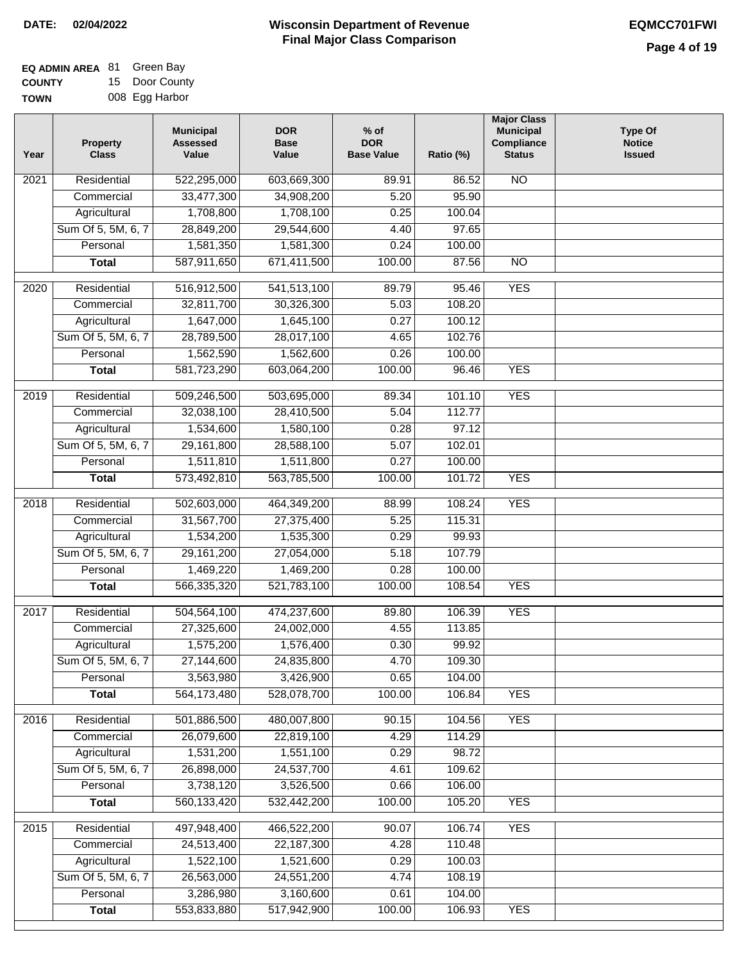| <b>EQ ADMIN AREA 81 Green Bay</b> |                |
|-----------------------------------|----------------|
| <b>COUNTY</b>                     | 15 Door County |
| <b>TOWN</b>                       | 008 Egg Harbor |

| Year | <b>Property</b><br><b>Class</b> | <b>Municipal</b><br><b>Assessed</b><br>Value | <b>DOR</b><br><b>Base</b><br>Value | $%$ of<br><b>DOR</b><br><b>Base Value</b> | Ratio (%) | <b>Major Class</b><br><b>Municipal</b><br>Compliance<br><b>Status</b> | <b>Type Of</b><br><b>Notice</b><br><b>Issued</b> |
|------|---------------------------------|----------------------------------------------|------------------------------------|-------------------------------------------|-----------|-----------------------------------------------------------------------|--------------------------------------------------|
| 2021 | Residential                     | 522,295,000                                  | 603,669,300                        | 89.91                                     | 86.52     | <b>NO</b>                                                             |                                                  |
|      | Commercial                      | 33,477,300                                   | 34,908,200                         | 5.20                                      | 95.90     |                                                                       |                                                  |
|      | Agricultural                    | 1,708,800                                    | 1,708,100                          | 0.25                                      | 100.04    |                                                                       |                                                  |
|      | Sum Of 5, 5M, 6, 7              | 28,849,200                                   | 29,544,600                         | 4.40                                      | 97.65     |                                                                       |                                                  |
|      | Personal                        | 1,581,350                                    | 1,581,300                          | 0.24                                      | 100.00    |                                                                       |                                                  |
|      | <b>Total</b>                    | 587,911,650                                  | 671,411,500                        | 100.00                                    | 87.56     | $\overline{NO}$                                                       |                                                  |
| 2020 | Residential                     | 516,912,500                                  | 541,513,100                        | 89.79                                     | 95.46     | <b>YES</b>                                                            |                                                  |
|      | Commercial                      | 32,811,700                                   | 30,326,300                         | 5.03                                      | 108.20    |                                                                       |                                                  |
|      | Agricultural                    | 1,647,000                                    | 1,645,100                          | 0.27                                      | 100.12    |                                                                       |                                                  |
|      | Sum Of 5, 5M, 6, 7              | 28,789,500                                   | 28,017,100                         | 4.65                                      | 102.76    |                                                                       |                                                  |
|      | Personal                        | 1,562,590                                    | 1,562,600                          | 0.26                                      | 100.00    |                                                                       |                                                  |
|      | <b>Total</b>                    | 581,723,290                                  | 603,064,200                        | 100.00                                    | 96.46     | <b>YES</b>                                                            |                                                  |
| 2019 | Residential                     | 509,246,500                                  | 503,695,000                        | 89.34                                     | 101.10    | <b>YES</b>                                                            |                                                  |
|      | Commercial                      | 32,038,100                                   | 28,410,500                         | 5.04                                      | 112.77    |                                                                       |                                                  |
|      | Agricultural                    | 1,534,600                                    | 1,580,100                          | 0.28                                      | 97.12     |                                                                       |                                                  |
|      | Sum Of 5, 5M, 6, 7              | 29,161,800                                   | 28,588,100                         | 5.07                                      | 102.01    |                                                                       |                                                  |
|      | Personal                        | 1,511,810                                    | 1,511,800                          | 0.27                                      | 100.00    |                                                                       |                                                  |
|      | <b>Total</b>                    | 573,492,810                                  | 563,785,500                        | 100.00                                    | 101.72    | <b>YES</b>                                                            |                                                  |
| 2018 | Residential                     | 502,603,000                                  | 464,349,200                        | 88.99                                     | 108.24    | <b>YES</b>                                                            |                                                  |
|      | Commercial                      | 31,567,700                                   | 27,375,400                         | 5.25                                      | 115.31    |                                                                       |                                                  |
|      | Agricultural                    | 1,534,200                                    | 1,535,300                          | 0.29                                      | 99.93     |                                                                       |                                                  |
|      | Sum Of 5, 5M, 6, 7              | 29,161,200                                   | 27,054,000                         | 5.18                                      | 107.79    |                                                                       |                                                  |
|      | Personal                        | 1,469,220                                    | 1,469,200                          | 0.28                                      | 100.00    |                                                                       |                                                  |
|      | <b>Total</b>                    | 566,335,320                                  | 521,783,100                        | 100.00                                    | 108.54    | <b>YES</b>                                                            |                                                  |
| 2017 | Residential                     | 504,564,100                                  | 474,237,600                        | 89.80                                     | 106.39    | <b>YES</b>                                                            |                                                  |
|      | Commercial                      | 27,325,600                                   | 24,002,000                         | 4.55                                      | 113.85    |                                                                       |                                                  |
|      | Agricultural                    | 1,575,200                                    | 1,576,400                          | 0.30                                      | 99.92     |                                                                       |                                                  |
|      | Sum Of 5, 5M, 6, 7              | 27,144,600                                   | 24,835,800                         | 4.70                                      | 109.30    |                                                                       |                                                  |
|      | Personal                        | 3,563,980                                    | 3,426,900                          | 0.65                                      | 104.00    |                                                                       |                                                  |
|      | <b>Total</b>                    | 564,173,480                                  | 528,078,700                        | 100.00                                    | 106.84    | <b>YES</b>                                                            |                                                  |
| 2016 | Residential                     | 501,886,500                                  | 480,007,800                        | 90.15                                     | 104.56    | <b>YES</b>                                                            |                                                  |
|      | Commercial                      | 26,079,600                                   | 22,819,100                         | 4.29                                      | 114.29    |                                                                       |                                                  |
|      | Agricultural                    | 1,531,200                                    | 1,551,100                          | 0.29                                      | 98.72     |                                                                       |                                                  |
|      | Sum Of 5, 5M, 6, 7              | 26,898,000                                   | 24,537,700                         | 4.61                                      | 109.62    |                                                                       |                                                  |
|      | Personal                        | 3,738,120                                    | 3,526,500                          | 0.66                                      | 106.00    |                                                                       |                                                  |
|      | <b>Total</b>                    | 560,133,420                                  | 532,442,200                        | 100.00                                    | 105.20    | <b>YES</b>                                                            |                                                  |
| 2015 | Residential                     | 497,948,400                                  | 466,522,200                        | 90.07                                     | 106.74    | <b>YES</b>                                                            |                                                  |
|      | Commercial                      | 24,513,400                                   | 22, 187, 300                       | 4.28                                      | 110.48    |                                                                       |                                                  |
|      | Agricultural                    | 1,522,100                                    | 1,521,600                          | 0.29                                      | 100.03    |                                                                       |                                                  |
|      | Sum Of 5, 5M, 6, 7              | 26,563,000                                   | 24,551,200                         | 4.74                                      | 108.19    |                                                                       |                                                  |
|      | Personal                        | 3,286,980                                    | 3,160,600                          | 0.61                                      | 104.00    |                                                                       |                                                  |
|      | <b>Total</b>                    | 553,833,880                                  | 517,942,900                        | 100.00                                    | 106.93    | <b>YES</b>                                                            |                                                  |
|      |                                 |                                              |                                    |                                           |           |                                                                       |                                                  |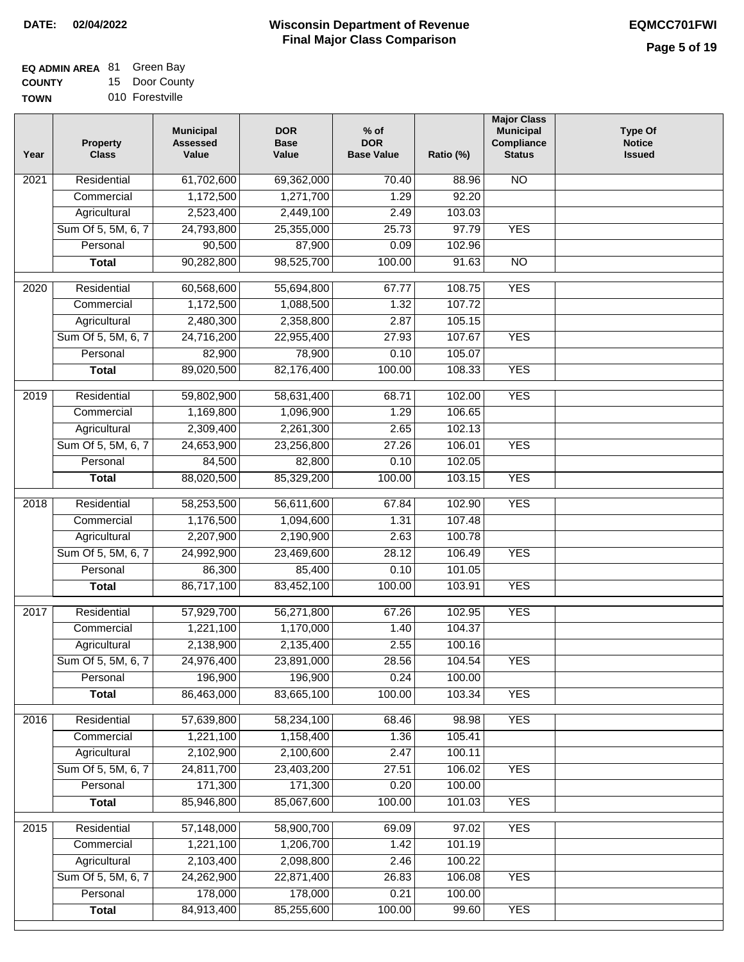| <b>EQ ADMIN AREA 81 Green Bay</b> |                |
|-----------------------------------|----------------|
| <b>COUNTY</b>                     | 15 Door County |

**TOWN** 010 Forestville

| <b>NO</b><br>Residential<br>61,702,600<br>69,362,000<br>$\frac{1}{70.40}$<br>2021<br>88.96<br>1,172,500<br>1,271,700<br>1.29<br>92.20<br>Commercial<br>2,449,100<br>Agricultural<br>2,523,400<br>2.49<br>103.03<br>97.79<br><b>YES</b><br>Sum Of 5, 5M, 6, 7<br>24,793,800<br>25,355,000<br>25.73<br>87,900<br>Personal<br>90,500<br>0.09<br>102.96<br>90,282,800<br>98,525,700<br>100.00<br>$\overline{NO}$<br>91.63<br><b>Total</b><br><b>YES</b><br>Residential<br>60,568,600<br>55,694,800<br>67.77<br>108.75<br>2020<br>107.72<br>1,172,500<br>1,088,500<br>1.32<br>Commercial<br>2,358,800<br>2.87<br>105.15<br>Agricultural<br>2,480,300<br>Sum Of 5, 5M, 6, 7<br><b>YES</b><br>24,716,200<br>22,955,400<br>27.93<br>107.67<br>82,900<br>78,900<br>Personal<br>0.10<br>105.07<br>82,176,400<br><b>YES</b><br><b>Total</b><br>89,020,500<br>100.00<br>108.33<br><b>YES</b><br>Residential<br>59,802,900<br>58,631,400<br>102.00<br>2019<br>68.71<br>106.65<br>Commercial<br>1,169,800<br>1.29<br>1,096,900<br>2,309,400<br>Agricultural<br>2,261,300<br>2.65<br>102.13<br>Sum Of 5, 5M, 6, 7<br>24,653,900<br>23,256,800<br>106.01<br><b>YES</b><br>27.26<br>Personal<br>84,500<br>82,800<br>0.10<br>102.05<br>88,020,500<br>85,329,200<br>100.00<br>103.15<br><b>YES</b><br><b>Total</b><br>102.90<br><b>YES</b><br>2018<br>Residential<br>58,253,500<br>56,611,600<br>67.84<br>Commercial<br>1,176,500<br>1,094,600<br>1.31<br>107.48<br>Agricultural<br>2,207,900<br>2,190,900<br>2.63<br>100.78<br>Sum Of 5, 5M, 6, 7<br>24,992,900<br>23,469,600<br>28.12<br>106.49<br><b>YES</b><br>Personal<br>86,300<br>85,400<br>0.10<br>101.05<br>86,717,100<br>83,452,100<br>100.00<br>103.91<br><b>YES</b><br><b>Total</b><br><b>YES</b><br>2017<br>Residential<br>57,929,700<br>56,271,800<br>67.26<br>102.95<br>1,221,100<br>1,170,000<br>104.37<br>Commercial<br>1.40<br>2,138,900<br>2,135,400<br>2.55<br>100.16<br>Agricultural<br>Sum Of 5, 5M, 6, 7<br>24,976,400<br>23,891,000<br>28.56<br>104.54<br><b>YES</b><br>196,900<br>196,900<br>0.24<br>Personal<br>100.00<br>86,463,000<br>83,665,100<br><b>YES</b><br>100.00<br>103.34<br><b>Total</b><br>Residential<br>57,639,800<br>58,234,100<br>68.46<br>98.98<br><b>YES</b><br>2016<br>1,221,100<br>1,158,400<br>105.41<br>Commercial<br>1.36<br>2,100,600<br>2,102,900<br>2.47<br>100.11<br>Agricultural<br>Sum Of 5, 5M, 6, 7<br>24,811,700<br>23,403,200<br>27.51<br>106.02<br><b>YES</b><br>171,300<br>171,300<br>Personal<br>0.20<br>100.00<br>85,946,800<br>85,067,600<br>100.00<br>101.03<br><b>YES</b><br><b>Total</b><br>Residential<br>57,148,000<br><b>YES</b><br>2015<br>58,900,700<br>69.09<br>97.02<br>Commercial<br>1,221,100<br>1,206,700<br>101.19<br>1.42<br>2,103,400<br>Agricultural<br>2,098,800<br>2.46<br>100.22<br>106.08<br><b>YES</b> | Year | <b>Property</b><br><b>Class</b> | <b>Municipal</b><br><b>Assessed</b><br>Value | <b>DOR</b><br><b>Base</b><br>Value | $%$ of<br><b>DOR</b><br><b>Base Value</b> | Ratio (%) | <b>Major Class</b><br><b>Municipal</b><br>Compliance<br><b>Status</b> | <b>Type Of</b><br><b>Notice</b><br><b>Issued</b> |
|----------------------------------------------------------------------------------------------------------------------------------------------------------------------------------------------------------------------------------------------------------------------------------------------------------------------------------------------------------------------------------------------------------------------------------------------------------------------------------------------------------------------------------------------------------------------------------------------------------------------------------------------------------------------------------------------------------------------------------------------------------------------------------------------------------------------------------------------------------------------------------------------------------------------------------------------------------------------------------------------------------------------------------------------------------------------------------------------------------------------------------------------------------------------------------------------------------------------------------------------------------------------------------------------------------------------------------------------------------------------------------------------------------------------------------------------------------------------------------------------------------------------------------------------------------------------------------------------------------------------------------------------------------------------------------------------------------------------------------------------------------------------------------------------------------------------------------------------------------------------------------------------------------------------------------------------------------------------------------------------------------------------------------------------------------------------------------------------------------------------------------------------------------------------------------------------------------------------------------------------------------------------------------------------------------------------------------------------------------------------------------------------------------------------------------------------------------------------------------------------------------------------------------------------------------------------------------------------------------------------------------------------------------------------------------------------------------------------------------------------------------------------------------------------------------------------------|------|---------------------------------|----------------------------------------------|------------------------------------|-------------------------------------------|-----------|-----------------------------------------------------------------------|--------------------------------------------------|
|                                                                                                                                                                                                                                                                                                                                                                                                                                                                                                                                                                                                                                                                                                                                                                                                                                                                                                                                                                                                                                                                                                                                                                                                                                                                                                                                                                                                                                                                                                                                                                                                                                                                                                                                                                                                                                                                                                                                                                                                                                                                                                                                                                                                                                                                                                                                                                                                                                                                                                                                                                                                                                                                                                                                                                                                                            |      |                                 |                                              |                                    |                                           |           |                                                                       |                                                  |
|                                                                                                                                                                                                                                                                                                                                                                                                                                                                                                                                                                                                                                                                                                                                                                                                                                                                                                                                                                                                                                                                                                                                                                                                                                                                                                                                                                                                                                                                                                                                                                                                                                                                                                                                                                                                                                                                                                                                                                                                                                                                                                                                                                                                                                                                                                                                                                                                                                                                                                                                                                                                                                                                                                                                                                                                                            |      |                                 |                                              |                                    |                                           |           |                                                                       |                                                  |
|                                                                                                                                                                                                                                                                                                                                                                                                                                                                                                                                                                                                                                                                                                                                                                                                                                                                                                                                                                                                                                                                                                                                                                                                                                                                                                                                                                                                                                                                                                                                                                                                                                                                                                                                                                                                                                                                                                                                                                                                                                                                                                                                                                                                                                                                                                                                                                                                                                                                                                                                                                                                                                                                                                                                                                                                                            |      |                                 |                                              |                                    |                                           |           |                                                                       |                                                  |
|                                                                                                                                                                                                                                                                                                                                                                                                                                                                                                                                                                                                                                                                                                                                                                                                                                                                                                                                                                                                                                                                                                                                                                                                                                                                                                                                                                                                                                                                                                                                                                                                                                                                                                                                                                                                                                                                                                                                                                                                                                                                                                                                                                                                                                                                                                                                                                                                                                                                                                                                                                                                                                                                                                                                                                                                                            |      |                                 |                                              |                                    |                                           |           |                                                                       |                                                  |
|                                                                                                                                                                                                                                                                                                                                                                                                                                                                                                                                                                                                                                                                                                                                                                                                                                                                                                                                                                                                                                                                                                                                                                                                                                                                                                                                                                                                                                                                                                                                                                                                                                                                                                                                                                                                                                                                                                                                                                                                                                                                                                                                                                                                                                                                                                                                                                                                                                                                                                                                                                                                                                                                                                                                                                                                                            |      |                                 |                                              |                                    |                                           |           |                                                                       |                                                  |
|                                                                                                                                                                                                                                                                                                                                                                                                                                                                                                                                                                                                                                                                                                                                                                                                                                                                                                                                                                                                                                                                                                                                                                                                                                                                                                                                                                                                                                                                                                                                                                                                                                                                                                                                                                                                                                                                                                                                                                                                                                                                                                                                                                                                                                                                                                                                                                                                                                                                                                                                                                                                                                                                                                                                                                                                                            |      |                                 |                                              |                                    |                                           |           |                                                                       |                                                  |
|                                                                                                                                                                                                                                                                                                                                                                                                                                                                                                                                                                                                                                                                                                                                                                                                                                                                                                                                                                                                                                                                                                                                                                                                                                                                                                                                                                                                                                                                                                                                                                                                                                                                                                                                                                                                                                                                                                                                                                                                                                                                                                                                                                                                                                                                                                                                                                                                                                                                                                                                                                                                                                                                                                                                                                                                                            |      |                                 |                                              |                                    |                                           |           |                                                                       |                                                  |
|                                                                                                                                                                                                                                                                                                                                                                                                                                                                                                                                                                                                                                                                                                                                                                                                                                                                                                                                                                                                                                                                                                                                                                                                                                                                                                                                                                                                                                                                                                                                                                                                                                                                                                                                                                                                                                                                                                                                                                                                                                                                                                                                                                                                                                                                                                                                                                                                                                                                                                                                                                                                                                                                                                                                                                                                                            |      |                                 |                                              |                                    |                                           |           |                                                                       |                                                  |
|                                                                                                                                                                                                                                                                                                                                                                                                                                                                                                                                                                                                                                                                                                                                                                                                                                                                                                                                                                                                                                                                                                                                                                                                                                                                                                                                                                                                                                                                                                                                                                                                                                                                                                                                                                                                                                                                                                                                                                                                                                                                                                                                                                                                                                                                                                                                                                                                                                                                                                                                                                                                                                                                                                                                                                                                                            |      |                                 |                                              |                                    |                                           |           |                                                                       |                                                  |
|                                                                                                                                                                                                                                                                                                                                                                                                                                                                                                                                                                                                                                                                                                                                                                                                                                                                                                                                                                                                                                                                                                                                                                                                                                                                                                                                                                                                                                                                                                                                                                                                                                                                                                                                                                                                                                                                                                                                                                                                                                                                                                                                                                                                                                                                                                                                                                                                                                                                                                                                                                                                                                                                                                                                                                                                                            |      |                                 |                                              |                                    |                                           |           |                                                                       |                                                  |
|                                                                                                                                                                                                                                                                                                                                                                                                                                                                                                                                                                                                                                                                                                                                                                                                                                                                                                                                                                                                                                                                                                                                                                                                                                                                                                                                                                                                                                                                                                                                                                                                                                                                                                                                                                                                                                                                                                                                                                                                                                                                                                                                                                                                                                                                                                                                                                                                                                                                                                                                                                                                                                                                                                                                                                                                                            |      |                                 |                                              |                                    |                                           |           |                                                                       |                                                  |
|                                                                                                                                                                                                                                                                                                                                                                                                                                                                                                                                                                                                                                                                                                                                                                                                                                                                                                                                                                                                                                                                                                                                                                                                                                                                                                                                                                                                                                                                                                                                                                                                                                                                                                                                                                                                                                                                                                                                                                                                                                                                                                                                                                                                                                                                                                                                                                                                                                                                                                                                                                                                                                                                                                                                                                                                                            |      |                                 |                                              |                                    |                                           |           |                                                                       |                                                  |
|                                                                                                                                                                                                                                                                                                                                                                                                                                                                                                                                                                                                                                                                                                                                                                                                                                                                                                                                                                                                                                                                                                                                                                                                                                                                                                                                                                                                                                                                                                                                                                                                                                                                                                                                                                                                                                                                                                                                                                                                                                                                                                                                                                                                                                                                                                                                                                                                                                                                                                                                                                                                                                                                                                                                                                                                                            |      |                                 |                                              |                                    |                                           |           |                                                                       |                                                  |
|                                                                                                                                                                                                                                                                                                                                                                                                                                                                                                                                                                                                                                                                                                                                                                                                                                                                                                                                                                                                                                                                                                                                                                                                                                                                                                                                                                                                                                                                                                                                                                                                                                                                                                                                                                                                                                                                                                                                                                                                                                                                                                                                                                                                                                                                                                                                                                                                                                                                                                                                                                                                                                                                                                                                                                                                                            |      |                                 |                                              |                                    |                                           |           |                                                                       |                                                  |
|                                                                                                                                                                                                                                                                                                                                                                                                                                                                                                                                                                                                                                                                                                                                                                                                                                                                                                                                                                                                                                                                                                                                                                                                                                                                                                                                                                                                                                                                                                                                                                                                                                                                                                                                                                                                                                                                                                                                                                                                                                                                                                                                                                                                                                                                                                                                                                                                                                                                                                                                                                                                                                                                                                                                                                                                                            |      |                                 |                                              |                                    |                                           |           |                                                                       |                                                  |
|                                                                                                                                                                                                                                                                                                                                                                                                                                                                                                                                                                                                                                                                                                                                                                                                                                                                                                                                                                                                                                                                                                                                                                                                                                                                                                                                                                                                                                                                                                                                                                                                                                                                                                                                                                                                                                                                                                                                                                                                                                                                                                                                                                                                                                                                                                                                                                                                                                                                                                                                                                                                                                                                                                                                                                                                                            |      |                                 |                                              |                                    |                                           |           |                                                                       |                                                  |
|                                                                                                                                                                                                                                                                                                                                                                                                                                                                                                                                                                                                                                                                                                                                                                                                                                                                                                                                                                                                                                                                                                                                                                                                                                                                                                                                                                                                                                                                                                                                                                                                                                                                                                                                                                                                                                                                                                                                                                                                                                                                                                                                                                                                                                                                                                                                                                                                                                                                                                                                                                                                                                                                                                                                                                                                                            |      |                                 |                                              |                                    |                                           |           |                                                                       |                                                  |
|                                                                                                                                                                                                                                                                                                                                                                                                                                                                                                                                                                                                                                                                                                                                                                                                                                                                                                                                                                                                                                                                                                                                                                                                                                                                                                                                                                                                                                                                                                                                                                                                                                                                                                                                                                                                                                                                                                                                                                                                                                                                                                                                                                                                                                                                                                                                                                                                                                                                                                                                                                                                                                                                                                                                                                                                                            |      |                                 |                                              |                                    |                                           |           |                                                                       |                                                  |
|                                                                                                                                                                                                                                                                                                                                                                                                                                                                                                                                                                                                                                                                                                                                                                                                                                                                                                                                                                                                                                                                                                                                                                                                                                                                                                                                                                                                                                                                                                                                                                                                                                                                                                                                                                                                                                                                                                                                                                                                                                                                                                                                                                                                                                                                                                                                                                                                                                                                                                                                                                                                                                                                                                                                                                                                                            |      |                                 |                                              |                                    |                                           |           |                                                                       |                                                  |
|                                                                                                                                                                                                                                                                                                                                                                                                                                                                                                                                                                                                                                                                                                                                                                                                                                                                                                                                                                                                                                                                                                                                                                                                                                                                                                                                                                                                                                                                                                                                                                                                                                                                                                                                                                                                                                                                                                                                                                                                                                                                                                                                                                                                                                                                                                                                                                                                                                                                                                                                                                                                                                                                                                                                                                                                                            |      |                                 |                                              |                                    |                                           |           |                                                                       |                                                  |
|                                                                                                                                                                                                                                                                                                                                                                                                                                                                                                                                                                                                                                                                                                                                                                                                                                                                                                                                                                                                                                                                                                                                                                                                                                                                                                                                                                                                                                                                                                                                                                                                                                                                                                                                                                                                                                                                                                                                                                                                                                                                                                                                                                                                                                                                                                                                                                                                                                                                                                                                                                                                                                                                                                                                                                                                                            |      |                                 |                                              |                                    |                                           |           |                                                                       |                                                  |
|                                                                                                                                                                                                                                                                                                                                                                                                                                                                                                                                                                                                                                                                                                                                                                                                                                                                                                                                                                                                                                                                                                                                                                                                                                                                                                                                                                                                                                                                                                                                                                                                                                                                                                                                                                                                                                                                                                                                                                                                                                                                                                                                                                                                                                                                                                                                                                                                                                                                                                                                                                                                                                                                                                                                                                                                                            |      |                                 |                                              |                                    |                                           |           |                                                                       |                                                  |
|                                                                                                                                                                                                                                                                                                                                                                                                                                                                                                                                                                                                                                                                                                                                                                                                                                                                                                                                                                                                                                                                                                                                                                                                                                                                                                                                                                                                                                                                                                                                                                                                                                                                                                                                                                                                                                                                                                                                                                                                                                                                                                                                                                                                                                                                                                                                                                                                                                                                                                                                                                                                                                                                                                                                                                                                                            |      |                                 |                                              |                                    |                                           |           |                                                                       |                                                  |
|                                                                                                                                                                                                                                                                                                                                                                                                                                                                                                                                                                                                                                                                                                                                                                                                                                                                                                                                                                                                                                                                                                                                                                                                                                                                                                                                                                                                                                                                                                                                                                                                                                                                                                                                                                                                                                                                                                                                                                                                                                                                                                                                                                                                                                                                                                                                                                                                                                                                                                                                                                                                                                                                                                                                                                                                                            |      |                                 |                                              |                                    |                                           |           |                                                                       |                                                  |
|                                                                                                                                                                                                                                                                                                                                                                                                                                                                                                                                                                                                                                                                                                                                                                                                                                                                                                                                                                                                                                                                                                                                                                                                                                                                                                                                                                                                                                                                                                                                                                                                                                                                                                                                                                                                                                                                                                                                                                                                                                                                                                                                                                                                                                                                                                                                                                                                                                                                                                                                                                                                                                                                                                                                                                                                                            |      |                                 |                                              |                                    |                                           |           |                                                                       |                                                  |
|                                                                                                                                                                                                                                                                                                                                                                                                                                                                                                                                                                                                                                                                                                                                                                                                                                                                                                                                                                                                                                                                                                                                                                                                                                                                                                                                                                                                                                                                                                                                                                                                                                                                                                                                                                                                                                                                                                                                                                                                                                                                                                                                                                                                                                                                                                                                                                                                                                                                                                                                                                                                                                                                                                                                                                                                                            |      |                                 |                                              |                                    |                                           |           |                                                                       |                                                  |
|                                                                                                                                                                                                                                                                                                                                                                                                                                                                                                                                                                                                                                                                                                                                                                                                                                                                                                                                                                                                                                                                                                                                                                                                                                                                                                                                                                                                                                                                                                                                                                                                                                                                                                                                                                                                                                                                                                                                                                                                                                                                                                                                                                                                                                                                                                                                                                                                                                                                                                                                                                                                                                                                                                                                                                                                                            |      |                                 |                                              |                                    |                                           |           |                                                                       |                                                  |
|                                                                                                                                                                                                                                                                                                                                                                                                                                                                                                                                                                                                                                                                                                                                                                                                                                                                                                                                                                                                                                                                                                                                                                                                                                                                                                                                                                                                                                                                                                                                                                                                                                                                                                                                                                                                                                                                                                                                                                                                                                                                                                                                                                                                                                                                                                                                                                                                                                                                                                                                                                                                                                                                                                                                                                                                                            |      |                                 |                                              |                                    |                                           |           |                                                                       |                                                  |
|                                                                                                                                                                                                                                                                                                                                                                                                                                                                                                                                                                                                                                                                                                                                                                                                                                                                                                                                                                                                                                                                                                                                                                                                                                                                                                                                                                                                                                                                                                                                                                                                                                                                                                                                                                                                                                                                                                                                                                                                                                                                                                                                                                                                                                                                                                                                                                                                                                                                                                                                                                                                                                                                                                                                                                                                                            |      |                                 |                                              |                                    |                                           |           |                                                                       |                                                  |
|                                                                                                                                                                                                                                                                                                                                                                                                                                                                                                                                                                                                                                                                                                                                                                                                                                                                                                                                                                                                                                                                                                                                                                                                                                                                                                                                                                                                                                                                                                                                                                                                                                                                                                                                                                                                                                                                                                                                                                                                                                                                                                                                                                                                                                                                                                                                                                                                                                                                                                                                                                                                                                                                                                                                                                                                                            |      |                                 |                                              |                                    |                                           |           |                                                                       |                                                  |
|                                                                                                                                                                                                                                                                                                                                                                                                                                                                                                                                                                                                                                                                                                                                                                                                                                                                                                                                                                                                                                                                                                                                                                                                                                                                                                                                                                                                                                                                                                                                                                                                                                                                                                                                                                                                                                                                                                                                                                                                                                                                                                                                                                                                                                                                                                                                                                                                                                                                                                                                                                                                                                                                                                                                                                                                                            |      |                                 |                                              |                                    |                                           |           |                                                                       |                                                  |
|                                                                                                                                                                                                                                                                                                                                                                                                                                                                                                                                                                                                                                                                                                                                                                                                                                                                                                                                                                                                                                                                                                                                                                                                                                                                                                                                                                                                                                                                                                                                                                                                                                                                                                                                                                                                                                                                                                                                                                                                                                                                                                                                                                                                                                                                                                                                                                                                                                                                                                                                                                                                                                                                                                                                                                                                                            |      |                                 |                                              |                                    |                                           |           |                                                                       |                                                  |
|                                                                                                                                                                                                                                                                                                                                                                                                                                                                                                                                                                                                                                                                                                                                                                                                                                                                                                                                                                                                                                                                                                                                                                                                                                                                                                                                                                                                                                                                                                                                                                                                                                                                                                                                                                                                                                                                                                                                                                                                                                                                                                                                                                                                                                                                                                                                                                                                                                                                                                                                                                                                                                                                                                                                                                                                                            |      |                                 |                                              |                                    |                                           |           |                                                                       |                                                  |
|                                                                                                                                                                                                                                                                                                                                                                                                                                                                                                                                                                                                                                                                                                                                                                                                                                                                                                                                                                                                                                                                                                                                                                                                                                                                                                                                                                                                                                                                                                                                                                                                                                                                                                                                                                                                                                                                                                                                                                                                                                                                                                                                                                                                                                                                                                                                                                                                                                                                                                                                                                                                                                                                                                                                                                                                                            |      |                                 |                                              |                                    |                                           |           |                                                                       |                                                  |
|                                                                                                                                                                                                                                                                                                                                                                                                                                                                                                                                                                                                                                                                                                                                                                                                                                                                                                                                                                                                                                                                                                                                                                                                                                                                                                                                                                                                                                                                                                                                                                                                                                                                                                                                                                                                                                                                                                                                                                                                                                                                                                                                                                                                                                                                                                                                                                                                                                                                                                                                                                                                                                                                                                                                                                                                                            |      |                                 |                                              |                                    |                                           |           |                                                                       |                                                  |
|                                                                                                                                                                                                                                                                                                                                                                                                                                                                                                                                                                                                                                                                                                                                                                                                                                                                                                                                                                                                                                                                                                                                                                                                                                                                                                                                                                                                                                                                                                                                                                                                                                                                                                                                                                                                                                                                                                                                                                                                                                                                                                                                                                                                                                                                                                                                                                                                                                                                                                                                                                                                                                                                                                                                                                                                                            |      |                                 |                                              |                                    |                                           |           |                                                                       |                                                  |
|                                                                                                                                                                                                                                                                                                                                                                                                                                                                                                                                                                                                                                                                                                                                                                                                                                                                                                                                                                                                                                                                                                                                                                                                                                                                                                                                                                                                                                                                                                                                                                                                                                                                                                                                                                                                                                                                                                                                                                                                                                                                                                                                                                                                                                                                                                                                                                                                                                                                                                                                                                                                                                                                                                                                                                                                                            |      |                                 |                                              |                                    |                                           |           |                                                                       |                                                  |
|                                                                                                                                                                                                                                                                                                                                                                                                                                                                                                                                                                                                                                                                                                                                                                                                                                                                                                                                                                                                                                                                                                                                                                                                                                                                                                                                                                                                                                                                                                                                                                                                                                                                                                                                                                                                                                                                                                                                                                                                                                                                                                                                                                                                                                                                                                                                                                                                                                                                                                                                                                                                                                                                                                                                                                                                                            |      |                                 |                                              |                                    |                                           |           |                                                                       |                                                  |
|                                                                                                                                                                                                                                                                                                                                                                                                                                                                                                                                                                                                                                                                                                                                                                                                                                                                                                                                                                                                                                                                                                                                                                                                                                                                                                                                                                                                                                                                                                                                                                                                                                                                                                                                                                                                                                                                                                                                                                                                                                                                                                                                                                                                                                                                                                                                                                                                                                                                                                                                                                                                                                                                                                                                                                                                                            |      |                                 |                                              |                                    |                                           |           |                                                                       |                                                  |
|                                                                                                                                                                                                                                                                                                                                                                                                                                                                                                                                                                                                                                                                                                                                                                                                                                                                                                                                                                                                                                                                                                                                                                                                                                                                                                                                                                                                                                                                                                                                                                                                                                                                                                                                                                                                                                                                                                                                                                                                                                                                                                                                                                                                                                                                                                                                                                                                                                                                                                                                                                                                                                                                                                                                                                                                                            |      |                                 |                                              |                                    |                                           |           |                                                                       |                                                  |
|                                                                                                                                                                                                                                                                                                                                                                                                                                                                                                                                                                                                                                                                                                                                                                                                                                                                                                                                                                                                                                                                                                                                                                                                                                                                                                                                                                                                                                                                                                                                                                                                                                                                                                                                                                                                                                                                                                                                                                                                                                                                                                                                                                                                                                                                                                                                                                                                                                                                                                                                                                                                                                                                                                                                                                                                                            |      | Sum Of 5, 5M, 6, 7              | 24,262,900                                   | 22,871,400                         | 26.83                                     |           |                                                                       |                                                  |
| Personal<br>178,000<br>178,000<br>0.21<br>100.00                                                                                                                                                                                                                                                                                                                                                                                                                                                                                                                                                                                                                                                                                                                                                                                                                                                                                                                                                                                                                                                                                                                                                                                                                                                                                                                                                                                                                                                                                                                                                                                                                                                                                                                                                                                                                                                                                                                                                                                                                                                                                                                                                                                                                                                                                                                                                                                                                                                                                                                                                                                                                                                                                                                                                                           |      |                                 |                                              |                                    |                                           |           |                                                                       |                                                  |
| 84,913,400<br>85,255,600<br>100.00<br><b>YES</b><br><b>Total</b><br>99.60                                                                                                                                                                                                                                                                                                                                                                                                                                                                                                                                                                                                                                                                                                                                                                                                                                                                                                                                                                                                                                                                                                                                                                                                                                                                                                                                                                                                                                                                                                                                                                                                                                                                                                                                                                                                                                                                                                                                                                                                                                                                                                                                                                                                                                                                                                                                                                                                                                                                                                                                                                                                                                                                                                                                                  |      |                                 |                                              |                                    |                                           |           |                                                                       |                                                  |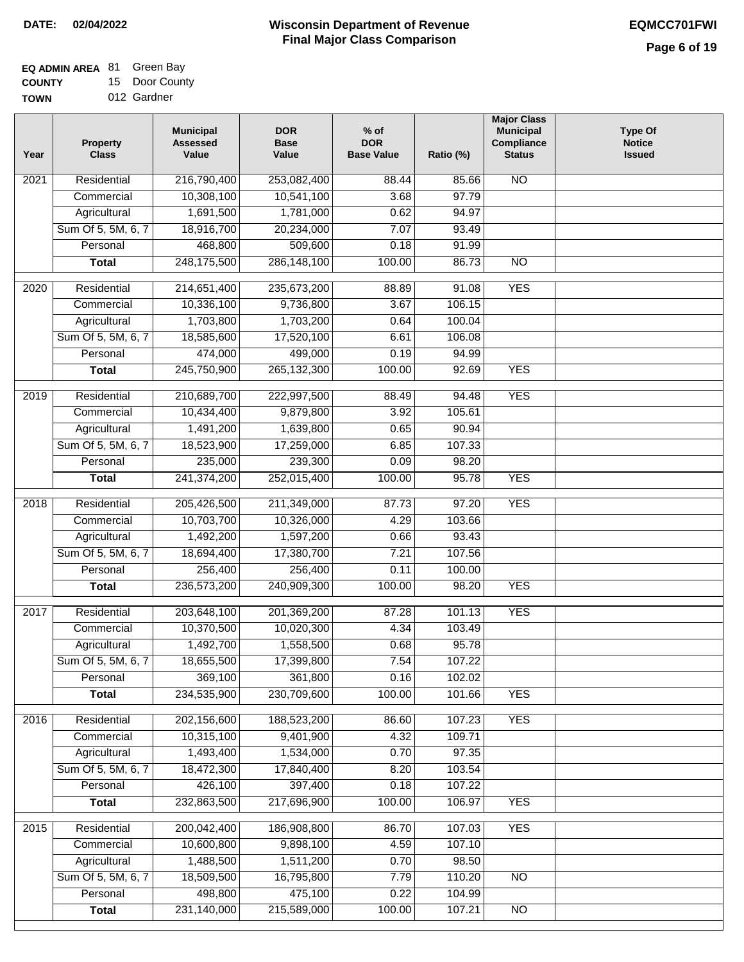| <b>EQ ADMIN AREA 81 Green Bay</b> |                |
|-----------------------------------|----------------|
| <b>COUNTY</b>                     | 15 Door County |

**TOWN** 012 Gardner

| Year              | <b>Property</b><br><b>Class</b> | <b>Municipal</b><br><b>Assessed</b><br>Value | <b>DOR</b><br><b>Base</b><br>Value | % of<br><b>DOR</b><br><b>Base Value</b> | Ratio (%) | <b>Major Class</b><br><b>Municipal</b><br>Compliance<br><b>Status</b> | <b>Type Of</b><br><b>Notice</b><br><b>Issued</b> |
|-------------------|---------------------------------|----------------------------------------------|------------------------------------|-----------------------------------------|-----------|-----------------------------------------------------------------------|--------------------------------------------------|
| $\overline{202}1$ | Residential                     | 216,790,400                                  | 253,082,400                        | 88.44                                   | 85.66     | $\overline{NO}$                                                       |                                                  |
|                   | Commercial                      | 10,308,100                                   | 10,541,100                         | 3.68                                    | 97.79     |                                                                       |                                                  |
|                   | Agricultural                    | 1,691,500                                    | 1,781,000                          | 0.62                                    | 94.97     |                                                                       |                                                  |
|                   | Sum Of 5, 5M, 6, 7              | 18,916,700                                   | 20,234,000                         | 7.07                                    | 93.49     |                                                                       |                                                  |
|                   | Personal                        | 468,800                                      | 509,600                            | 0.18                                    | 91.99     |                                                                       |                                                  |
|                   | <b>Total</b>                    | 248,175,500                                  | 286,148,100                        | 100.00                                  | 86.73     | $\overline{NO}$                                                       |                                                  |
| $\overline{2020}$ | Residential                     | 214,651,400                                  | 235,673,200                        | 88.89                                   | 91.08     | <b>YES</b>                                                            |                                                  |
|                   | Commercial                      | 10,336,100                                   | 9,736,800                          | 3.67                                    | 106.15    |                                                                       |                                                  |
|                   | Agricultural                    | 1,703,800                                    | 1,703,200                          | 0.64                                    | 100.04    |                                                                       |                                                  |
|                   | Sum Of 5, 5M, 6, 7              | 18,585,600                                   | 17,520,100                         | 6.61                                    | 106.08    |                                                                       |                                                  |
|                   | Personal                        | 474,000                                      | 499,000                            | 0.19                                    | 94.99     |                                                                       |                                                  |
|                   | <b>Total</b>                    | 245,750,900                                  | 265, 132, 300                      | 100.00                                  | 92.69     | <b>YES</b>                                                            |                                                  |
| 2019              | Residential                     | 210,689,700                                  | 222,997,500                        | 88.49                                   | 94.48     | <b>YES</b>                                                            |                                                  |
|                   | Commercial                      | 10,434,400                                   | 9,879,800                          | 3.92                                    | 105.61    |                                                                       |                                                  |
|                   | Agricultural                    | 1,491,200                                    | 1,639,800                          | 0.65                                    | 90.94     |                                                                       |                                                  |
|                   | Sum Of 5, 5M, 6, 7              | 18,523,900                                   | 17,259,000                         | 6.85                                    | 107.33    |                                                                       |                                                  |
|                   | Personal                        | 235,000                                      | 239,300                            | 0.09                                    | 98.20     |                                                                       |                                                  |
|                   | <b>Total</b>                    | 241,374,200                                  | 252,015,400                        | 100.00                                  | 95.78     | <b>YES</b>                                                            |                                                  |
|                   | Residential                     |                                              |                                    |                                         | 97.20     | <b>YES</b>                                                            |                                                  |
| 2018              | Commercial                      | 205,426,500<br>10,703,700                    | 211,349,000<br>10,326,000          | 87.73<br>4.29                           | 103.66    |                                                                       |                                                  |
|                   | Agricultural                    | 1,492,200                                    | 1,597,200                          | 0.66                                    | 93.43     |                                                                       |                                                  |
|                   | Sum Of 5, 5M, 6, 7              | 18,694,400                                   | 17,380,700                         | 7.21                                    | 107.56    |                                                                       |                                                  |
|                   | Personal                        | 256,400                                      | 256,400                            | 0.11                                    | 100.00    |                                                                       |                                                  |
|                   | <b>Total</b>                    | 236,573,200                                  | 240,909,300                        | 100.00                                  | 98.20     | <b>YES</b>                                                            |                                                  |
|                   |                                 |                                              |                                    |                                         |           |                                                                       |                                                  |
| 2017              | Residential                     | 203,648,100                                  | 201,369,200                        | 87.28                                   | 101.13    | <b>YES</b>                                                            |                                                  |
|                   | Commercial                      | 10,370,500                                   | 10,020,300                         | 4.34                                    | 103.49    |                                                                       |                                                  |
|                   | Agricultural                    | 1,492,700                                    | 1,558,500                          | 0.68                                    | 95.78     |                                                                       |                                                  |
|                   | Sum Of 5, 5M, 6, 7              | 18,655,500                                   | 17,399,800                         | 7.54                                    | 107.22    |                                                                       |                                                  |
|                   | Personal                        | 369,100                                      | 361,800                            | 0.16                                    | 102.02    |                                                                       |                                                  |
|                   | <b>Total</b>                    | 234,535,900                                  | 230,709,600                        | 100.00                                  | 101.66    | <b>YES</b>                                                            |                                                  |
| 2016              | Residential                     | 202,156,600                                  | 188,523,200                        | 86.60                                   | 107.23    | <b>YES</b>                                                            |                                                  |
|                   | Commercial                      | 10,315,100                                   | 9,401,900                          | 4.32                                    | 109.71    |                                                                       |                                                  |
|                   | Agricultural                    | 1,493,400                                    | 1,534,000                          | 0.70                                    | 97.35     |                                                                       |                                                  |
|                   | Sum Of 5, 5M, 6, 7              | 18,472,300                                   | 17,840,400                         | 8.20                                    | 103.54    |                                                                       |                                                  |
|                   | Personal                        | 426,100                                      | 397,400                            | 0.18                                    | 107.22    |                                                                       |                                                  |
|                   | <b>Total</b>                    | 232,863,500                                  | 217,696,900                        | 100.00                                  | 106.97    | <b>YES</b>                                                            |                                                  |
| 2015              | Residential                     | 200,042,400                                  | 186,908,800                        | 86.70                                   | 107.03    | <b>YES</b>                                                            |                                                  |
|                   | Commercial                      | 10,600,800                                   | 9,898,100                          | 4.59                                    | 107.10    |                                                                       |                                                  |
|                   | Agricultural                    | 1,488,500                                    | 1,511,200                          | 0.70                                    | 98.50     |                                                                       |                                                  |
|                   | Sum Of 5, 5M, 6, 7              | 18,509,500                                   | 16,795,800                         | 7.79                                    | 110.20    | $\overline{NO}$                                                       |                                                  |
|                   | Personal                        | 498,800                                      | 475,100                            | 0.22                                    | 104.99    |                                                                       |                                                  |
|                   | <b>Total</b>                    | 231,140,000                                  | 215,589,000                        | 100.00                                  | 107.21    | N <sub>O</sub>                                                        |                                                  |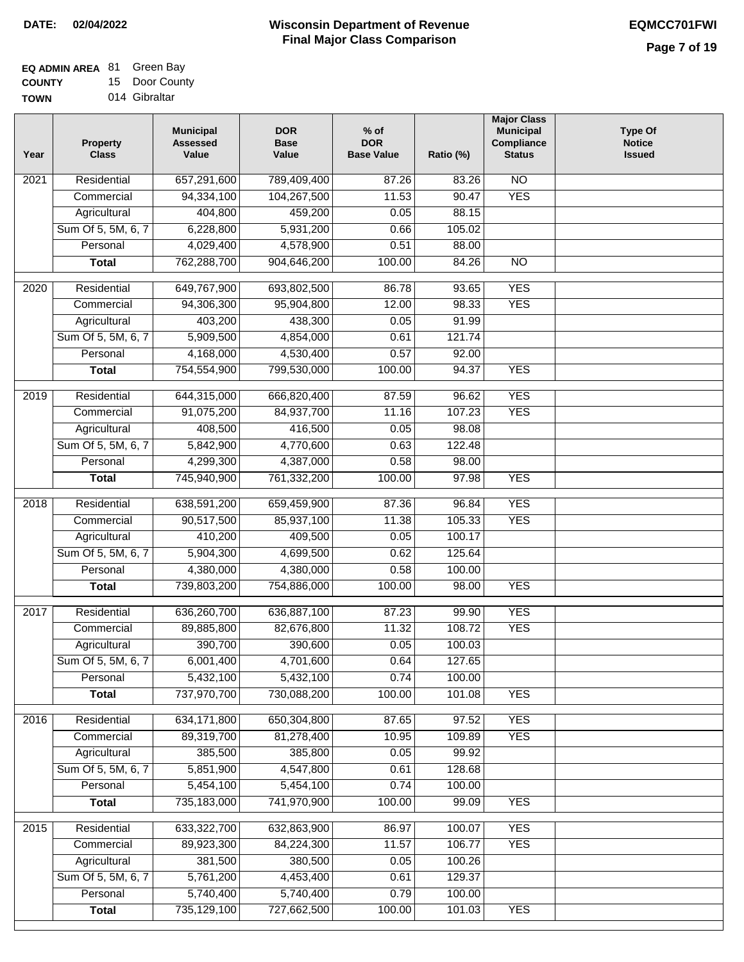| <b>EQ ADMIN AREA 81 Green Bay</b> |                |
|-----------------------------------|----------------|
| <b>COUNTY</b>                     | 15 Door County |

**TOWN** 014 Gibraltar

| 2021              | <b>Property</b><br><b>Class</b> | <b>Municipal</b><br><b>Assessed</b><br>Value | <b>DOR</b><br><b>Base</b><br>Value | $%$ of<br><b>DOR</b><br><b>Base Value</b> | Ratio (%) | <b>Municipal</b><br>Compliance<br><b>Status</b> | <b>Type Of</b><br><b>Notice</b><br><b>Issued</b> |
|-------------------|---------------------------------|----------------------------------------------|------------------------------------|-------------------------------------------|-----------|-------------------------------------------------|--------------------------------------------------|
|                   | Residential                     | 657,291,600                                  | 789,409,400                        | 87.26                                     | 83.26     | $\overline{NO}$                                 |                                                  |
|                   | Commercial                      | 94,334,100                                   | 104,267,500                        | 11.53                                     | 90.47     | <b>YES</b>                                      |                                                  |
|                   | Agricultural                    | 404,800                                      | 459,200                            | 0.05                                      | 88.15     |                                                 |                                                  |
|                   | Sum Of 5, 5M, 6, 7              | 6,228,800                                    | 5,931,200                          | 0.66                                      | 105.02    |                                                 |                                                  |
|                   | Personal                        | 4,029,400                                    | 4,578,900                          | 0.51                                      | 88.00     |                                                 |                                                  |
|                   | <b>Total</b>                    | 762,288,700                                  | 904,646,200                        | 100.00                                    | 84.26     | $\overline{NO}$                                 |                                                  |
| 2020              | Residential                     | 649,767,900                                  | 693,802,500                        | 86.78                                     | 93.65     | <b>YES</b>                                      |                                                  |
|                   | Commercial                      | 94,306,300                                   | 95,904,800                         | 12.00                                     | 98.33     | <b>YES</b>                                      |                                                  |
|                   | Agricultural                    | 403,200                                      | 438,300                            | 0.05                                      | 91.99     |                                                 |                                                  |
|                   | Sum Of 5, 5M, 6, 7              | 5,909,500                                    | 4,854,000                          | 0.61                                      | 121.74    |                                                 |                                                  |
|                   | Personal                        | 4,168,000                                    | 4,530,400                          | 0.57                                      | 92.00     |                                                 |                                                  |
|                   | <b>Total</b>                    | 754,554,900                                  | 799,530,000                        | 100.00                                    | 94.37     | <b>YES</b>                                      |                                                  |
|                   |                                 |                                              |                                    |                                           |           |                                                 |                                                  |
| 2019              | Residential                     | 644,315,000                                  | 666,820,400                        | 87.59                                     | 96.62     | <b>YES</b>                                      |                                                  |
|                   | Commercial                      | 91,075,200                                   | 84,937,700                         | 11.16                                     | 107.23    | <b>YES</b>                                      |                                                  |
|                   | Agricultural                    | 408,500                                      | 416,500                            | 0.05                                      | 98.08     |                                                 |                                                  |
|                   | Sum Of 5, 5M, 6, 7              | 5,842,900                                    | 4,770,600                          | 0.63                                      | 122.48    |                                                 |                                                  |
|                   | Personal                        | 4,299,300                                    | 4,387,000                          | 0.58                                      | 98.00     |                                                 |                                                  |
|                   | <b>Total</b>                    | 745,940,900                                  | 761,332,200                        | 100.00                                    | 97.98     | <b>YES</b>                                      |                                                  |
| $\overline{2018}$ | Residential                     | 638,591,200                                  | 659,459,900                        | 87.36                                     | 96.84     | <b>YES</b>                                      |                                                  |
|                   | Commercial                      | 90,517,500                                   | 85,937,100                         | 11.38                                     | 105.33    | <b>YES</b>                                      |                                                  |
|                   | Agricultural                    | 410,200                                      | 409,500                            | 0.05                                      | 100.17    |                                                 |                                                  |
|                   | Sum Of 5, 5M, 6, 7              | 5,904,300                                    | 4,699,500                          | 0.62                                      | 125.64    |                                                 |                                                  |
|                   | Personal                        | 4,380,000                                    | 4,380,000                          | 0.58                                      | 100.00    |                                                 |                                                  |
|                   | <b>Total</b>                    | 739,803,200                                  | 754,886,000                        | 100.00                                    | 98.00     | <b>YES</b>                                      |                                                  |
| 2017              | Residential                     | 636,260,700                                  | 636,887,100                        | 87.23                                     | 99.90     | <b>YES</b>                                      |                                                  |
|                   | Commercial                      | 89,885,800                                   | 82,676,800                         | 11.32                                     | 108.72    | <b>YES</b>                                      |                                                  |
|                   | Agricultural                    | 390,700                                      | 390,600                            | 0.05                                      | 100.03    |                                                 |                                                  |
|                   | Sum Of 5, 5M, 6, 7              | 6,001,400                                    | 4,701,600                          | 0.64                                      | 127.65    |                                                 |                                                  |
|                   | Personal                        | 5,432,100                                    | 5,432,100                          | 0.74                                      | 100.00    |                                                 |                                                  |
|                   | <b>Total</b>                    | 737,970,700                                  | 730,088,200                        | 100.00                                    | 101.08    | <b>YES</b>                                      |                                                  |
| 2016              | Residential                     | 634,171,800                                  | 650,304,800                        | 87.65                                     | 97.52     | <b>YES</b>                                      |                                                  |
|                   | Commercial                      | 89,319,700                                   | 81,278,400                         | 10.95                                     | 109.89    | <b>YES</b>                                      |                                                  |
|                   | Agricultural                    | 385,500                                      | 385,800                            | 0.05                                      | 99.92     |                                                 |                                                  |
|                   | Sum Of 5, 5M, 6, 7              | 5,851,900                                    | 4,547,800                          | 0.61                                      | 128.68    |                                                 |                                                  |
|                   | Personal                        | 5,454,100                                    | 5,454,100                          | 0.74                                      | 100.00    |                                                 |                                                  |
|                   | <b>Total</b>                    | 735,183,000                                  | 741,970,900                        | 100.00                                    | 99.09     | <b>YES</b>                                      |                                                  |
| $\overline{2015}$ | Residential                     | 633,322,700                                  | 632,863,900                        | 86.97                                     | 100.07    | <b>YES</b>                                      |                                                  |
|                   | Commercial                      | 89,923,300                                   | 84,224,300                         | 11.57                                     | 106.77    | <b>YES</b>                                      |                                                  |
|                   | Agricultural                    | 381,500                                      | 380,500                            | 0.05                                      | 100.26    |                                                 |                                                  |
|                   | Sum Of 5, 5M, 6, 7              | 5,761,200                                    | 4,453,400                          | 0.61                                      | 129.37    |                                                 |                                                  |
|                   | Personal                        | 5,740,400                                    | 5,740,400                          | 0.79                                      | 100.00    |                                                 |                                                  |
|                   | <b>Total</b>                    | 735,129,100                                  | 727,662,500                        | 100.00                                    | 101.03    | <b>YES</b>                                      |                                                  |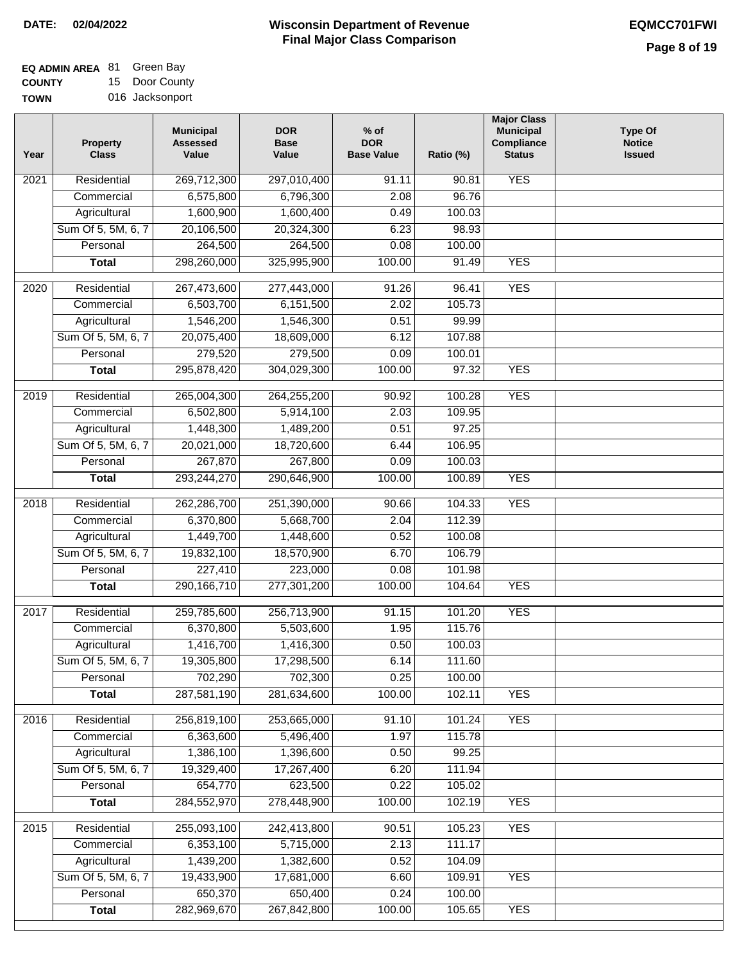| <b>EQ ADMIN AREA 81 Green Bay</b> |                 |
|-----------------------------------|-----------------|
| <b>COUNTY</b>                     | 15 Door County  |
| <b>TOWN</b>                       | 016 Jacksonport |

| Year              | <b>Property</b><br><b>Class</b> | <b>Municipal</b><br><b>Assessed</b><br>Value | <b>DOR</b><br><b>Base</b><br>Value | $%$ of<br><b>DOR</b><br><b>Base Value</b> | Ratio (%) | <b>Major Class</b><br><b>Municipal</b><br>Compliance<br><b>Status</b> | <b>Type Of</b><br><b>Notice</b><br><b>Issued</b> |
|-------------------|---------------------------------|----------------------------------------------|------------------------------------|-------------------------------------------|-----------|-----------------------------------------------------------------------|--------------------------------------------------|
| $\overline{202}1$ | Residential                     | 269,712,300                                  | 297,010,400                        | 91.11                                     | 90.81     | <b>YES</b>                                                            |                                                  |
|                   | Commercial                      | 6,575,800                                    | 6,796,300                          | 2.08                                      | 96.76     |                                                                       |                                                  |
|                   | Agricultural                    | 1,600,900                                    | 1,600,400                          | 0.49                                      | 100.03    |                                                                       |                                                  |
|                   | Sum Of 5, 5M, 6, 7              | 20,106,500                                   | 20,324,300                         | 6.23                                      | 98.93     |                                                                       |                                                  |
|                   | Personal                        | 264,500                                      | 264,500                            | 0.08                                      | 100.00    |                                                                       |                                                  |
|                   | <b>Total</b>                    | 298,260,000                                  | 325,995,900                        | 100.00                                    | 91.49     | <b>YES</b>                                                            |                                                  |
| 2020              | Residential                     | 267,473,600                                  | 277,443,000                        | 91.26                                     | 96.41     | <b>YES</b>                                                            |                                                  |
|                   | Commercial                      | 6,503,700                                    | 6,151,500                          | 2.02                                      | 105.73    |                                                                       |                                                  |
|                   | Agricultural                    | 1,546,200                                    | 1,546,300                          | 0.51                                      | 99.99     |                                                                       |                                                  |
|                   | Sum Of 5, 5M, 6, 7              | 20,075,400                                   | 18,609,000                         | 6.12                                      | 107.88    |                                                                       |                                                  |
|                   | Personal                        | 279,520                                      | 279,500                            | 0.09                                      | 100.01    |                                                                       |                                                  |
|                   | <b>Total</b>                    | 295,878,420                                  | 304,029,300                        | 100.00                                    | 97.32     | <b>YES</b>                                                            |                                                  |
| 2019              | Residential                     | 265,004,300                                  | 264,255,200                        | 90.92                                     | 100.28    | <b>YES</b>                                                            |                                                  |
|                   | Commercial                      | 6,502,800                                    | 5,914,100                          | 2.03                                      | 109.95    |                                                                       |                                                  |
|                   | Agricultural                    | 1,448,300                                    | 1,489,200                          | 0.51                                      | 97.25     |                                                                       |                                                  |
|                   | Sum Of 5, 5M, 6, 7              | 20,021,000                                   | 18,720,600                         | 6.44                                      | 106.95    |                                                                       |                                                  |
|                   | Personal                        | 267,870                                      | 267,800                            | 0.09                                      | 100.03    |                                                                       |                                                  |
|                   | <b>Total</b>                    | 293,244,270                                  | 290,646,900                        | 100.00                                    | 100.89    | <b>YES</b>                                                            |                                                  |
|                   |                                 |                                              |                                    |                                           |           |                                                                       |                                                  |
| 2018              | Residential                     | 262,286,700                                  | 251,390,000                        | 90.66                                     | 104.33    | <b>YES</b>                                                            |                                                  |
|                   | Commercial                      | 6,370,800                                    | 5,668,700                          | 2.04                                      | 112.39    |                                                                       |                                                  |
|                   | Agricultural                    | 1,449,700                                    | 1,448,600                          | 0.52                                      | 100.08    |                                                                       |                                                  |
|                   | Sum Of 5, 5M, 6, 7              | 19,832,100                                   | 18,570,900                         | 6.70                                      | 106.79    |                                                                       |                                                  |
|                   | Personal                        | 227,410                                      | 223,000                            | 0.08                                      | 101.98    |                                                                       |                                                  |
|                   | <b>Total</b>                    | 290,166,710                                  | 277,301,200                        | 100.00                                    | 104.64    | <b>YES</b>                                                            |                                                  |
| 2017              | Residential                     | 259,785,600                                  | 256,713,900                        | 91.15                                     | 101.20    | <b>YES</b>                                                            |                                                  |
|                   | Commercial                      | 6,370,800                                    | 5,503,600                          | 1.95                                      | 115.76    |                                                                       |                                                  |
|                   | Agricultural                    | 1,416,700                                    | 1,416,300                          | 0.50                                      | 100.03    |                                                                       |                                                  |
|                   | Sum Of 5, 5M, 6, 7              | 19,305,800                                   | 17,298,500                         | 6.14                                      | 111.60    |                                                                       |                                                  |
|                   | Personal                        | 702,290                                      | 702,300                            | 0.25                                      | 100.00    |                                                                       |                                                  |
|                   | <b>Total</b>                    | 287,581,190                                  | 281,634,600                        | 100.00                                    | 102.11    | <b>YES</b>                                                            |                                                  |
| 2016              | Residential                     | 256,819,100                                  | 253,665,000                        | 91.10                                     | 101.24    | <b>YES</b>                                                            |                                                  |
|                   | Commercial                      | 6,363,600                                    | 5,496,400                          | 1.97                                      | 115.78    |                                                                       |                                                  |
|                   | Agricultural                    | 1,386,100                                    | 1,396,600                          | 0.50                                      | 99.25     |                                                                       |                                                  |
|                   | Sum Of 5, 5M, 6, 7              | 19,329,400                                   | 17,267,400                         | 6.20                                      | 111.94    |                                                                       |                                                  |
|                   | Personal                        | 654,770                                      | 623,500                            | 0.22                                      | 105.02    |                                                                       |                                                  |
|                   | <b>Total</b>                    | 284,552,970                                  | 278,448,900                        | 100.00                                    | 102.19    | <b>YES</b>                                                            |                                                  |
| 2015              | Residential                     | 255,093,100                                  | 242,413,800                        | 90.51                                     | 105.23    | <b>YES</b>                                                            |                                                  |
|                   | Commercial                      | 6,353,100                                    | 5,715,000                          | 2.13                                      | 111.17    |                                                                       |                                                  |
|                   | Agricultural                    | 1,439,200                                    | 1,382,600                          | 0.52                                      | 104.09    |                                                                       |                                                  |
|                   | Sum Of 5, 5M, 6, 7              | 19,433,900                                   | 17,681,000                         | 6.60                                      | 109.91    | <b>YES</b>                                                            |                                                  |
|                   | Personal                        | 650,370                                      | 650,400                            | 0.24                                      | 100.00    |                                                                       |                                                  |
|                   | <b>Total</b>                    | 282,969,670                                  | 267,842,800                        | 100.00                                    | 105.65    | <b>YES</b>                                                            |                                                  |
|                   |                                 |                                              |                                    |                                           |           |                                                                       |                                                  |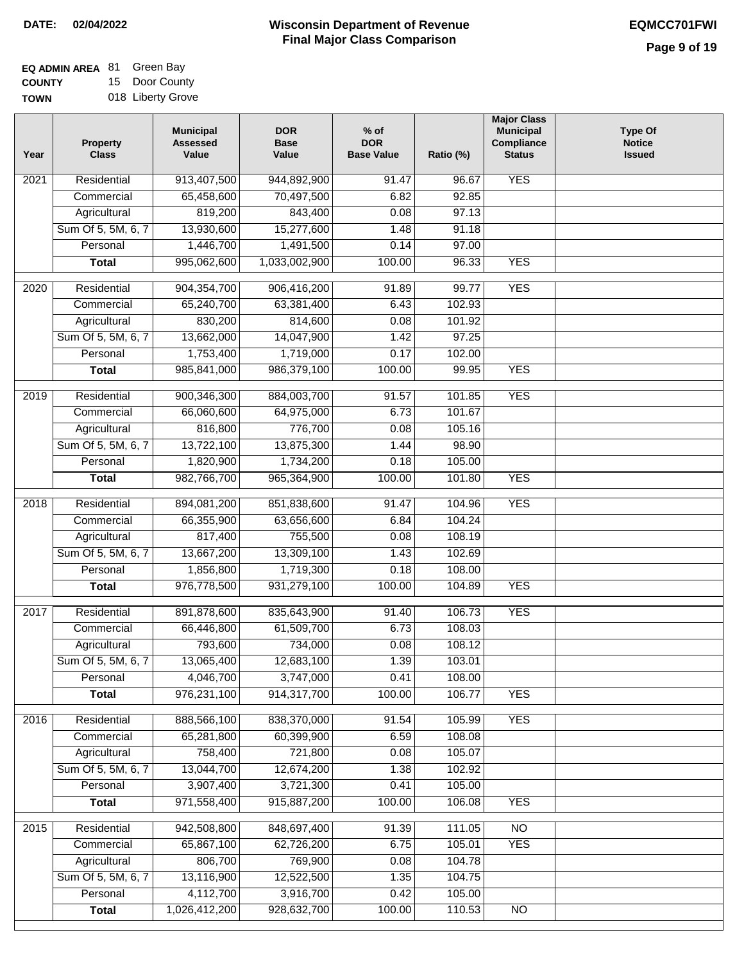| <b>EQ ADMIN AREA 81 Green Bay</b> |                   |
|-----------------------------------|-------------------|
| <b>COUNTY</b>                     | 15 Door County    |
| <b>TOWN</b>                       | 018 Liberty Grove |

| Year              | <b>Property</b><br><b>Class</b> | <b>Municipal</b><br><b>Assessed</b><br>Value | <b>DOR</b><br><b>Base</b><br>Value | $%$ of<br><b>DOR</b><br><b>Base Value</b> | Ratio (%) | <b>Major Class</b><br><b>Municipal</b><br>Compliance<br><b>Status</b> | <b>Type Of</b><br><b>Notice</b><br><b>Issued</b> |
|-------------------|---------------------------------|----------------------------------------------|------------------------------------|-------------------------------------------|-----------|-----------------------------------------------------------------------|--------------------------------------------------|
| $\overline{202}1$ | Residential                     | 913,407,500                                  | 944,892,900                        | 91.47                                     | 96.67     | <b>YES</b>                                                            |                                                  |
|                   | Commercial                      | 65,458,600                                   | 70,497,500                         | 6.82                                      | 92.85     |                                                                       |                                                  |
|                   | Agricultural                    | 819,200                                      | 843,400                            | 0.08                                      | 97.13     |                                                                       |                                                  |
|                   | Sum Of 5, 5M, 6, 7              | 13,930,600                                   | 15,277,600                         | 1.48                                      | 91.18     |                                                                       |                                                  |
|                   | Personal                        | 1,446,700                                    | 1,491,500                          | 0.14                                      | 97.00     |                                                                       |                                                  |
|                   | <b>Total</b>                    | 995,062,600                                  | 1,033,002,900                      | 100.00                                    | 96.33     | <b>YES</b>                                                            |                                                  |
| $\overline{2020}$ | Residential                     | 904,354,700                                  | 906,416,200                        | 91.89                                     | 99.77     | <b>YES</b>                                                            |                                                  |
|                   | Commercial                      | 65,240,700                                   | 63,381,400                         | 6.43                                      | 102.93    |                                                                       |                                                  |
|                   | Agricultural                    | 830,200                                      | 814,600                            | 0.08                                      | 101.92    |                                                                       |                                                  |
|                   | Sum Of 5, 5M, 6, 7              | 13,662,000                                   | 14,047,900                         | 1.42                                      | 97.25     |                                                                       |                                                  |
|                   | Personal                        | 1,753,400                                    | 1,719,000                          | 0.17                                      | 102.00    |                                                                       |                                                  |
|                   | <b>Total</b>                    | 985,841,000                                  | 986,379,100                        | 100.00                                    | 99.95     | <b>YES</b>                                                            |                                                  |
| 2019              | Residential                     | 900,346,300                                  | 884,003,700                        | 91.57                                     | 101.85    | <b>YES</b>                                                            |                                                  |
|                   | Commercial                      | 66,060,600                                   | 64,975,000                         | 6.73                                      | 101.67    |                                                                       |                                                  |
|                   | Agricultural                    | 816,800                                      | 776,700                            | 0.08                                      | 105.16    |                                                                       |                                                  |
|                   | Sum Of 5, 5M, 6, 7              | 13,722,100                                   | 13,875,300                         | 1.44                                      | 98.90     |                                                                       |                                                  |
|                   | Personal                        | 1,820,900                                    | 1,734,200                          | 0.18                                      | 105.00    |                                                                       |                                                  |
|                   | <b>Total</b>                    | 982,766,700                                  | 965,364,900                        | 100.00                                    | 101.80    | <b>YES</b>                                                            |                                                  |
| 2018              | Residential                     | 894,081,200                                  | 851,838,600                        | 91.47                                     | 104.96    | <b>YES</b>                                                            |                                                  |
|                   | Commercial                      | 66,355,900                                   | 63,656,600                         | 6.84                                      | 104.24    |                                                                       |                                                  |
|                   | Agricultural                    | 817,400                                      | 755,500                            | 0.08                                      | 108.19    |                                                                       |                                                  |
|                   | Sum Of 5, 5M, 6, 7              | 13,667,200                                   | 13,309,100                         | 1.43                                      | 102.69    |                                                                       |                                                  |
|                   | Personal                        | 1,856,800                                    | 1,719,300                          | 0.18                                      | 108.00    |                                                                       |                                                  |
|                   | <b>Total</b>                    | 976,778,500                                  | 931,279,100                        | 100.00                                    | 104.89    | <b>YES</b>                                                            |                                                  |
| 2017              | Residential                     | 891,878,600                                  | 835,643,900                        | 91.40                                     | 106.73    | <b>YES</b>                                                            |                                                  |
|                   | Commercial                      | 66,446,800                                   | 61,509,700                         | 6.73                                      | 108.03    |                                                                       |                                                  |
|                   | Agricultural                    | 793,600                                      | 734,000                            | 0.08                                      | 108.12    |                                                                       |                                                  |
|                   | Sum Of 5, 5M, 6, 7              | 13,065,400                                   | 12,683,100                         | 1.39                                      | 103.01    |                                                                       |                                                  |
|                   | Personal                        | 4,046,700                                    | 3,747,000                          | 0.41                                      | 108.00    |                                                                       |                                                  |
|                   | <b>Total</b>                    | 976,231,100                                  | 914,317,700                        | 100.00                                    | 106.77    | <b>YES</b>                                                            |                                                  |
| 2016              | Residential                     | 888,566,100                                  | 838,370,000                        | 91.54                                     | 105.99    | <b>YES</b>                                                            |                                                  |
|                   | Commercial                      | 65,281,800                                   | 60,399,900                         | 6.59                                      | 108.08    |                                                                       |                                                  |
|                   | Agricultural                    | 758,400                                      | 721,800                            | 0.08                                      | 105.07    |                                                                       |                                                  |
|                   | Sum Of 5, 5M, 6, 7              | 13,044,700                                   | 12,674,200                         | 1.38                                      | 102.92    |                                                                       |                                                  |
|                   | Personal                        | 3,907,400                                    | 3,721,300                          | 0.41                                      | 105.00    |                                                                       |                                                  |
|                   | <b>Total</b>                    | 971,558,400                                  | 915,887,200                        | 100.00                                    | 106.08    | <b>YES</b>                                                            |                                                  |
| 2015              | Residential                     | 942,508,800                                  | 848,697,400                        | 91.39                                     | 111.05    | <b>NO</b>                                                             |                                                  |
|                   | Commercial                      | 65,867,100                                   | 62,726,200                         | 6.75                                      | 105.01    | <b>YES</b>                                                            |                                                  |
|                   | Agricultural                    | 806,700                                      | 769,900                            | 0.08                                      | 104.78    |                                                                       |                                                  |
|                   | Sum Of 5, 5M, 6, 7              | 13,116,900                                   | 12,522,500                         | 1.35                                      | 104.75    |                                                                       |                                                  |
|                   | Personal                        | 4,112,700                                    | 3,916,700                          | 0.42                                      | 105.00    |                                                                       |                                                  |
|                   | <b>Total</b>                    | 1,026,412,200                                | 928,632,700                        | 100.00                                    | 110.53    | NO                                                                    |                                                  |
|                   |                                 |                                              |                                    |                                           |           |                                                                       |                                                  |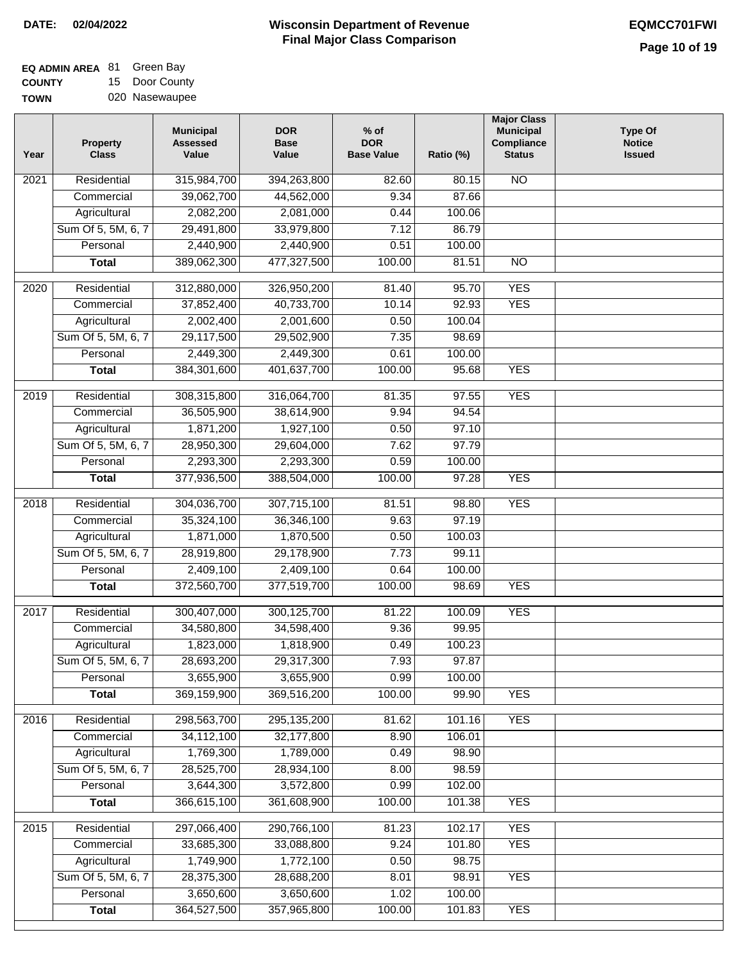| EQ ADMIN AREA 81 Green Bay |                |
|----------------------------|----------------|
| <b>COUNTY</b>              | 15 Door County |
| <b>TOWN</b>                | 020 Nasewaupee |

| Year              | Property<br><b>Class</b>       | <b>Municipal</b><br><b>Assessed</b><br>Value | <b>DOR</b><br><b>Base</b><br>Value | $%$ of<br><b>DOR</b><br><b>Base Value</b> | Ratio (%)       | <b>Major Class</b><br><b>Municipal</b><br>Compliance<br><b>Status</b> | <b>Type Of</b><br><b>Notice</b><br><b>Issued</b> |
|-------------------|--------------------------------|----------------------------------------------|------------------------------------|-------------------------------------------|-----------------|-----------------------------------------------------------------------|--------------------------------------------------|
| 2021              | Residential                    | 315,984,700                                  | 394,263,800                        | 82.60                                     | 80.15           | <b>NO</b>                                                             |                                                  |
|                   | Commercial                     | 39,062,700                                   | 44,562,000                         | 9.34                                      | 87.66           |                                                                       |                                                  |
|                   | Agricultural                   | 2,082,200                                    | 2,081,000                          | 0.44                                      | 100.06          |                                                                       |                                                  |
|                   | Sum Of 5, 5M, 6, 7             | 29,491,800                                   | 33,979,800                         | 7.12                                      | 86.79           |                                                                       |                                                  |
|                   | Personal                       | 2,440,900                                    | 2,440,900                          | 0.51                                      | 100.00          |                                                                       |                                                  |
|                   | <b>Total</b>                   | 389,062,300                                  | 477,327,500                        | 100.00                                    | 81.51           | $\overline{NO}$                                                       |                                                  |
| $\overline{2020}$ | Residential                    | 312,880,000                                  | 326,950,200                        | 81.40                                     | 95.70           | <b>YES</b>                                                            |                                                  |
|                   | Commercial                     | 37,852,400                                   | 40,733,700                         | 10.14                                     | 92.93           | <b>YES</b>                                                            |                                                  |
|                   | Agricultural                   | 2,002,400                                    | 2,001,600                          | 0.50                                      | 100.04          |                                                                       |                                                  |
|                   | Sum Of 5, 5M, 6, 7             | 29,117,500                                   | 29,502,900                         | 7.35                                      | 98.69           |                                                                       |                                                  |
|                   | Personal                       | 2,449,300                                    | 2,449,300                          | 0.61                                      | 100.00          |                                                                       |                                                  |
|                   | <b>Total</b>                   | 384, 301, 600                                | 401,637,700                        | 100.00                                    | 95.68           | <b>YES</b>                                                            |                                                  |
|                   |                                |                                              |                                    |                                           |                 |                                                                       |                                                  |
| 2019              | Residential                    | 308,315,800                                  | 316,064,700                        | 81.35                                     | 97.55           | <b>YES</b>                                                            |                                                  |
|                   | Commercial                     | 36,505,900                                   | 38,614,900                         | 9.94                                      | 94.54           |                                                                       |                                                  |
|                   | Agricultural                   | 1,871,200                                    | 1,927,100                          | 0.50                                      | 97.10           |                                                                       |                                                  |
|                   | Sum Of 5, 5M, 6, 7             | 28,950,300                                   | 29,604,000                         | 7.62                                      | 97.79           |                                                                       |                                                  |
|                   | Personal                       | 2,293,300                                    | 2,293,300                          | 0.59                                      | 100.00          |                                                                       |                                                  |
|                   | <b>Total</b>                   | 377,936,500                                  | 388,504,000                        | 100.00                                    | 97.28           | <b>YES</b>                                                            |                                                  |
| 2018              | Residential                    | 304,036,700                                  | 307,715,100                        | 81.51                                     | 98.80           | <b>YES</b>                                                            |                                                  |
|                   | Commercial                     | 35,324,100                                   | 36,346,100                         | 9.63                                      | 97.19           |                                                                       |                                                  |
|                   | Agricultural                   | 1,871,000                                    | 1,870,500                          | 0.50                                      | 100.03          |                                                                       |                                                  |
|                   | Sum Of 5, 5M, 6, 7             | 28,919,800                                   | 29,178,900                         | 7.73                                      | 99.11           |                                                                       |                                                  |
|                   | Personal                       | 2,409,100                                    | 2,409,100                          | 0.64                                      | 100.00          |                                                                       |                                                  |
|                   | <b>Total</b>                   | 372,560,700                                  | 377,519,700                        | 100.00                                    | 98.69           | <b>YES</b>                                                            |                                                  |
| 2017              | Residential                    | 300,407,000                                  | 300,125,700                        | 81.22                                     | 100.09          | <b>YES</b>                                                            |                                                  |
|                   | Commercial                     | 34,580,800                                   | 34,598,400                         | 9.36                                      | 99.95           |                                                                       |                                                  |
|                   | Agricultural                   | 1,823,000                                    | 1,818,900                          | 0.49                                      | 100.23          |                                                                       |                                                  |
|                   | Sum Of 5, 5M, 6, 7             | 28,693,200                                   | 29,317,300                         | 7.93                                      | 97.87           |                                                                       |                                                  |
|                   | Personal                       | 3,655,900                                    | 3,655,900                          | 0.99                                      | 100.00          |                                                                       |                                                  |
|                   | <b>Total</b>                   | 369,159,900                                  | 369,516,200                        | 100.00                                    | 99.90           | <b>YES</b>                                                            |                                                  |
| 2016              | Residential                    | 298,563,700                                  | 295, 135, 200                      | 81.62                                     | 101.16          | <b>YES</b>                                                            |                                                  |
|                   | Commercial                     | 34,112,100                                   | 32,177,800                         | 8.90                                      | 106.01          |                                                                       |                                                  |
|                   | Agricultural                   | 1,769,300                                    | 1,789,000                          | 0.49                                      | 98.90           |                                                                       |                                                  |
|                   | Sum Of 5, 5M, 6, 7             | 28,525,700                                   | 28,934,100                         | 8.00                                      | 98.59           |                                                                       |                                                  |
|                   | Personal                       | 3,644,300                                    | 3,572,800                          | 0.99                                      | 102.00          |                                                                       |                                                  |
|                   | <b>Total</b>                   | 366,615,100                                  | 361,608,900                        | 100.00                                    | 101.38          | <b>YES</b>                                                            |                                                  |
|                   |                                |                                              |                                    |                                           |                 |                                                                       |                                                  |
| 2015              | Residential                    | 297,066,400                                  | 290,766,100                        | 81.23                                     | 102.17          | <b>YES</b>                                                            |                                                  |
|                   | Commercial                     | 33,685,300                                   | 33,088,800                         | 9.24                                      | 101.80          | <b>YES</b>                                                            |                                                  |
|                   | Agricultural                   | 1,749,900                                    | 1,772,100                          | 0.50                                      | 98.75           |                                                                       |                                                  |
|                   | Sum Of 5, 5M, 6, 7<br>Personal | 28,375,300<br>3,650,600                      | 28,688,200                         | 8.01                                      | 98.91<br>100.00 | <b>YES</b>                                                            |                                                  |
|                   | <b>Total</b>                   | 364,527,500                                  | 3,650,600<br>357,965,800           | 1.02<br>100.00                            | 101.83          | <b>YES</b>                                                            |                                                  |
|                   |                                |                                              |                                    |                                           |                 |                                                                       |                                                  |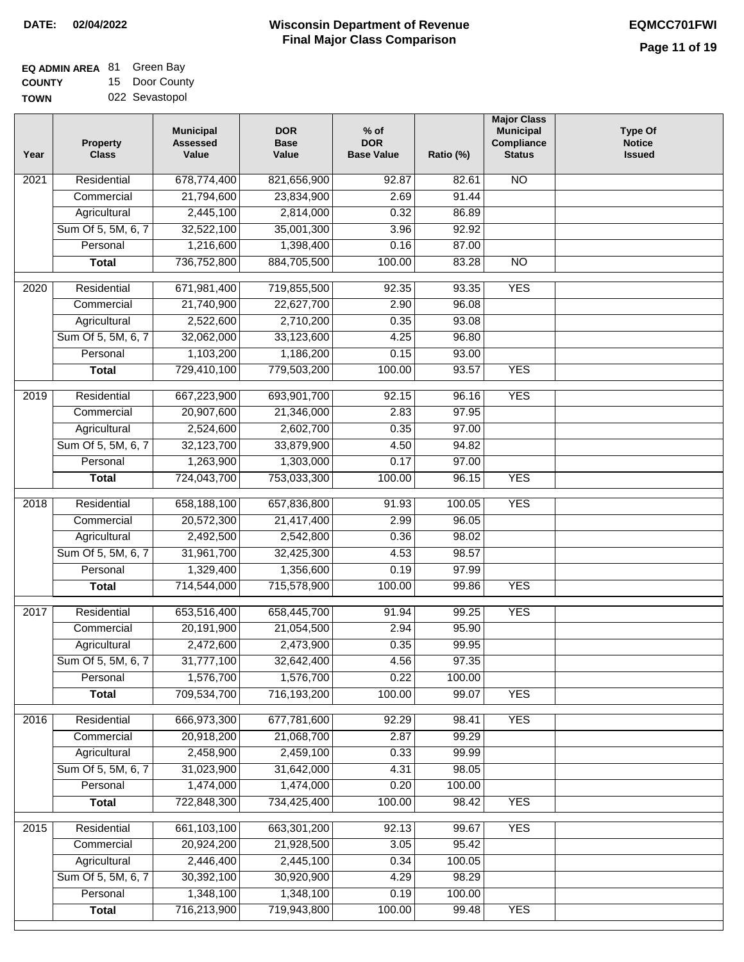# **Wisconsin Department of Revenue DATE: 02/04/2022 EQMCC701FWI Final Major Class Comparison**

| <b>EQ ADMIN AREA 81 Green Bay</b> |                |
|-----------------------------------|----------------|
| <b>COUNTY</b>                     | 15 Door County |
| <b>TOWN</b>                       | 022 Sevastopol |

| Year              | <b>Property</b><br><b>Class</b> | <b>Municipal</b><br><b>Assessed</b><br>Value | <b>DOR</b><br><b>Base</b><br>Value | $%$ of<br><b>DOR</b><br><b>Base Value</b> | Ratio (%) | <b>Major Class</b><br><b>Municipal</b><br>Compliance<br><b>Status</b> | <b>Type Of</b><br><b>Notice</b><br><b>Issued</b> |
|-------------------|---------------------------------|----------------------------------------------|------------------------------------|-------------------------------------------|-----------|-----------------------------------------------------------------------|--------------------------------------------------|
| 2021              | Residential                     | 678,774,400                                  | 821,656,900                        | 92.87                                     | 82.61     | $\overline{NO}$                                                       |                                                  |
|                   | Commercial                      | 21,794,600                                   | 23,834,900                         | 2.69                                      | 91.44     |                                                                       |                                                  |
|                   | Agricultural                    | 2,445,100                                    | 2,814,000                          | 0.32                                      | 86.89     |                                                                       |                                                  |
|                   | Sum Of 5, 5M, 6, 7              | 32,522,100                                   | 35,001,300                         | 3.96                                      | 92.92     |                                                                       |                                                  |
|                   | Personal                        | 1,216,600                                    | 1,398,400                          | 0.16                                      | 87.00     |                                                                       |                                                  |
|                   | <b>Total</b>                    | 736,752,800                                  | 884,705,500                        | 100.00                                    | 83.28     | $\overline{NO}$                                                       |                                                  |
| 2020              | Residential                     | 671,981,400                                  | 719,855,500                        | 92.35                                     | 93.35     | <b>YES</b>                                                            |                                                  |
|                   | Commercial                      | 21,740,900                                   | 22,627,700                         | 2.90                                      | 96.08     |                                                                       |                                                  |
|                   | Agricultural                    | 2,522,600                                    | 2,710,200                          | 0.35                                      | 93.08     |                                                                       |                                                  |
|                   | Sum Of 5, 5M, 6, 7              | 32,062,000                                   | 33,123,600                         | 4.25                                      | 96.80     |                                                                       |                                                  |
|                   | Personal                        | 1,103,200                                    | 1,186,200                          | 0.15                                      | 93.00     |                                                                       |                                                  |
|                   | <b>Total</b>                    | 729,410,100                                  | 779,503,200                        | 100.00                                    | 93.57     | <b>YES</b>                                                            |                                                  |
| 2019              | Residential                     | 667,223,900                                  | 693,901,700                        | 92.15                                     | 96.16     | <b>YES</b>                                                            |                                                  |
|                   | Commercial                      | 20,907,600                                   | 21,346,000                         | 2.83                                      | 97.95     |                                                                       |                                                  |
|                   | Agricultural                    | 2,524,600                                    | 2,602,700                          | 0.35                                      | 97.00     |                                                                       |                                                  |
|                   | Sum Of 5, 5M, 6, 7              | 32,123,700                                   | 33,879,900                         | 4.50                                      | 94.82     |                                                                       |                                                  |
|                   | Personal                        | 1,263,900                                    | 1,303,000                          | 0.17                                      | 97.00     |                                                                       |                                                  |
|                   | <b>Total</b>                    | 724,043,700                                  | 753,033,300                        | 100.00                                    | 96.15     | <b>YES</b>                                                            |                                                  |
| $\overline{2018}$ | Residential                     | 658,188,100                                  | 657,836,800                        | 91.93                                     | 100.05    | <b>YES</b>                                                            |                                                  |
|                   | Commercial                      | 20,572,300                                   | 21,417,400                         | 2.99                                      | 96.05     |                                                                       |                                                  |
|                   | Agricultural                    | 2,492,500                                    | 2,542,800                          | 0.36                                      | 98.02     |                                                                       |                                                  |
|                   | Sum Of 5, 5M, 6, 7              | 31,961,700                                   | 32,425,300                         | 4.53                                      | 98.57     |                                                                       |                                                  |
|                   | Personal                        | 1,329,400                                    | 1,356,600                          | 0.19                                      | 97.99     |                                                                       |                                                  |
|                   | <b>Total</b>                    | 714,544,000                                  | 715,578,900                        | 100.00                                    | 99.86     | <b>YES</b>                                                            |                                                  |
|                   |                                 |                                              |                                    |                                           |           |                                                                       |                                                  |
| 2017              | Residential                     | 653,516,400                                  | 658,445,700                        | 91.94                                     | 99.25     | <b>YES</b>                                                            |                                                  |
|                   | Commercial                      | 20,191,900                                   | 21,054,500                         | 2.94                                      | 95.90     |                                                                       |                                                  |
|                   | Agricultural                    | 2,472,600                                    | 2,473,900                          | 0.35                                      | 99.95     |                                                                       |                                                  |
|                   | Sum Of 5, 5M, 6, 7              | 31,777,100                                   | 32,642,400                         | 4.56                                      | 97.35     |                                                                       |                                                  |
|                   | Personal                        | 1,576,700                                    | 1,576,700                          | 0.22                                      | 100.00    |                                                                       |                                                  |
|                   | <b>Total</b>                    | 709,534,700                                  | 716,193,200                        | 100.00                                    | 99.07     | <b>YES</b>                                                            |                                                  |
| 2016              | Residential                     | 666,973,300                                  | 677,781,600                        | 92.29                                     | 98.41     | <b>YES</b>                                                            |                                                  |
|                   | Commercial                      | 20,918,200                                   | 21,068,700                         | 2.87                                      | 99.29     |                                                                       |                                                  |
|                   | Agricultural                    | 2,458,900                                    | 2,459,100                          | 0.33                                      | 99.99     |                                                                       |                                                  |
|                   | Sum Of 5, 5M, 6, 7              | 31,023,900                                   | 31,642,000                         | 4.31                                      | 98.05     |                                                                       |                                                  |
|                   | Personal                        | 1,474,000                                    | 1,474,000                          | 0.20                                      | 100.00    |                                                                       |                                                  |
|                   | <b>Total</b>                    | 722,848,300                                  | 734,425,400                        | 100.00                                    | 98.42     | <b>YES</b>                                                            |                                                  |
| 2015              | Residential                     | 661,103,100                                  | 663,301,200                        | 92.13                                     | 99.67     | <b>YES</b>                                                            |                                                  |
|                   | Commercial                      | 20,924,200                                   | 21,928,500                         | 3.05                                      | 95.42     |                                                                       |                                                  |
|                   | Agricultural                    | 2,446,400                                    | 2,445,100                          | 0.34                                      | 100.05    |                                                                       |                                                  |
|                   | Sum Of 5, 5M, 6, 7              | 30,392,100                                   | 30,920,900                         | 4.29                                      | 98.29     |                                                                       |                                                  |
|                   | Personal                        | 1,348,100                                    | 1,348,100                          | 0.19                                      | 100.00    |                                                                       |                                                  |
|                   | <b>Total</b>                    | 716,213,900                                  | 719,943,800                        | 100.00                                    | 99.48     | <b>YES</b>                                                            |                                                  |
|                   |                                 |                                              |                                    |                                           |           |                                                                       |                                                  |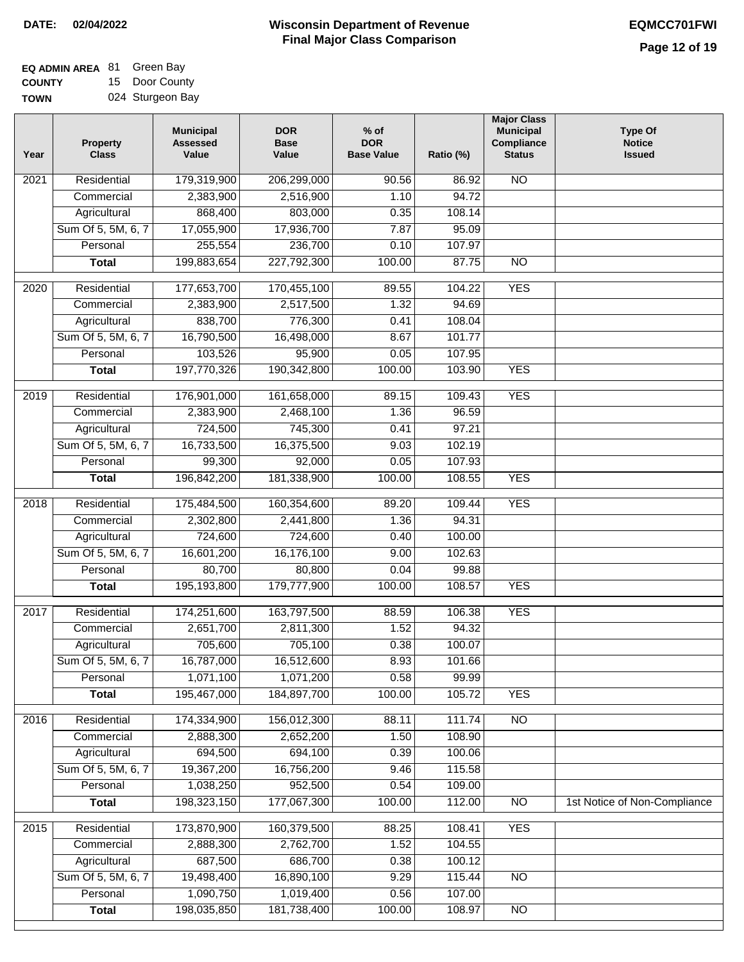| <b>EQ ADMIN AREA 81 Green Bay</b> |                  |
|-----------------------------------|------------------|
| <b>COUNTY</b>                     | 15 Door County   |
| TOWN                              | 024 Sturgeon Bay |

| Residential<br>179,319,900<br>N <sub>O</sub><br>$\overline{202}1$<br>206,299,000<br>90.56<br>86.92<br>2,383,900<br>94.72<br>Commercial<br>2,516,900<br>1.10<br>Agricultural<br>868,400<br>803,000<br>108.14<br>0.35<br>Sum Of 5, 5M, 6, 7<br>17,936,700<br>17,055,900<br>7.87<br>95.09 |  |
|----------------------------------------------------------------------------------------------------------------------------------------------------------------------------------------------------------------------------------------------------------------------------------------|--|
|                                                                                                                                                                                                                                                                                        |  |
|                                                                                                                                                                                                                                                                                        |  |
|                                                                                                                                                                                                                                                                                        |  |
|                                                                                                                                                                                                                                                                                        |  |
| 255,554<br>236,700<br>Personal<br>0.10<br>107.97                                                                                                                                                                                                                                       |  |
| 199,883,654<br>227,792,300<br>100.00<br>$\overline{NO}$<br><b>Total</b><br>87.75                                                                                                                                                                                                       |  |
| 170,455,100<br><b>YES</b><br>$\overline{2020}$<br>Residential<br>177,653,700<br>89.55<br>104.22                                                                                                                                                                                        |  |
| 2,383,900<br>2,517,500<br>1.32<br>94.69<br>Commercial                                                                                                                                                                                                                                  |  |
| 838,700<br>776,300<br>0.41<br>108.04<br>Agricultural                                                                                                                                                                                                                                   |  |
| Sum Of 5, 5M, 6, 7<br>16,790,500<br>16,498,000<br>8.67<br>101.77                                                                                                                                                                                                                       |  |
| 103,526<br>95,900<br>107.95<br>Personal<br>0.05                                                                                                                                                                                                                                        |  |
| <b>YES</b><br>197,770,326<br>190,342,800<br>100.00<br>103.90<br><b>Total</b>                                                                                                                                                                                                           |  |
| <b>YES</b><br>$\frac{2019}{ }$<br>Residential<br>176,901,000<br>161,658,000<br>89.15<br>109.43                                                                                                                                                                                         |  |
| 2,383,900<br>96.59<br>Commercial<br>2,468,100<br>1.36                                                                                                                                                                                                                                  |  |
| 724,500<br>745,300<br>97.21<br>Agricultural<br>0.41                                                                                                                                                                                                                                    |  |
| Sum Of 5, 5M, 6, 7<br>16,733,500<br>16,375,500<br>9.03<br>102.19                                                                                                                                                                                                                       |  |
| Personal<br>99,300<br>92,000<br>0.05<br>107.93                                                                                                                                                                                                                                         |  |
| 181,338,900<br>100.00<br>108.55<br><b>YES</b><br><b>Total</b><br>196,842,200                                                                                                                                                                                                           |  |
| Residential<br>175,484,500<br><b>YES</b><br>2018<br>160,354,600<br>89.20<br>109.44                                                                                                                                                                                                     |  |
| Commercial<br>2,302,800<br>2,441,800<br>1.36<br>94.31                                                                                                                                                                                                                                  |  |
| 724,600<br>724,600<br>100.00<br>Agricultural<br>0.40                                                                                                                                                                                                                                   |  |
| Sum Of 5, 5M, 6, 7<br>16,601,200<br>16,176,100<br>102.63<br>9.00                                                                                                                                                                                                                       |  |
| Personal<br>80,700<br>80,800<br>0.04<br>99.88                                                                                                                                                                                                                                          |  |
| 195,193,800<br>179,777,900<br>100.00<br>108.57<br><b>YES</b><br><b>Total</b>                                                                                                                                                                                                           |  |
| $\overline{2017}$<br>Residential<br>163,797,500<br><b>YES</b><br>174,251,600<br>88.59<br>106.38                                                                                                                                                                                        |  |
| 1.52<br>Commercial<br>2,651,700<br>2,811,300<br>94.32                                                                                                                                                                                                                                  |  |
| 705,600<br>705,100<br>0.38<br>100.07<br>Agricultural                                                                                                                                                                                                                                   |  |
| 16,787,000<br>16,512,600<br>8.93<br>Sum Of 5, 5M, 6, 7<br>101.66                                                                                                                                                                                                                       |  |
| 1,071,100<br>0.58<br>Personal<br>1,071,200<br>99.99                                                                                                                                                                                                                                    |  |
| 195,467,000<br>184,897,700<br>100.00<br>105.72<br><b>YES</b><br><b>Total</b>                                                                                                                                                                                                           |  |
| Residential<br>174,334,900<br>156,012,300<br>111.74<br>N <sub>O</sub><br>2016<br>88.11                                                                                                                                                                                                 |  |
| 2,888,300<br>2,652,200<br>1.50<br>Commercial<br>108.90                                                                                                                                                                                                                                 |  |
| Agricultural<br>694,500<br>694,100<br>0.39<br>100.06                                                                                                                                                                                                                                   |  |
| Sum Of 5, 5M, 6, 7<br>16,756,200<br>9.46<br>19,367,200<br>115.58                                                                                                                                                                                                                       |  |
| Personal<br>1,038,250<br>952,500<br>0.54<br>109.00                                                                                                                                                                                                                                     |  |
| 198,323,150<br>177,067,300<br>100.00<br>112.00<br>$\overline{NO}$<br>1st Notice of Non-Compliance<br><b>Total</b>                                                                                                                                                                      |  |
| <b>YES</b><br>Residential<br>173,870,900<br>160,379,500<br>88.25<br>108.41<br>2015                                                                                                                                                                                                     |  |
| 2,888,300<br>2,762,700<br>1.52<br>104.55<br>Commercial                                                                                                                                                                                                                                 |  |
| 687,500<br>686,700<br>0.38<br>100.12<br>Agricultural                                                                                                                                                                                                                                   |  |
| Sum Of 5, 5M, 6, 7<br>19,498,400<br>16,890,100<br>9.29<br>115.44<br><b>NO</b>                                                                                                                                                                                                          |  |
| 1,090,750<br>1,019,400<br>Personal<br>0.56<br>107.00                                                                                                                                                                                                                                   |  |
| 198,035,850<br>181,738,400<br>100.00<br>108.97<br><b>Total</b><br>N <sub>O</sub>                                                                                                                                                                                                       |  |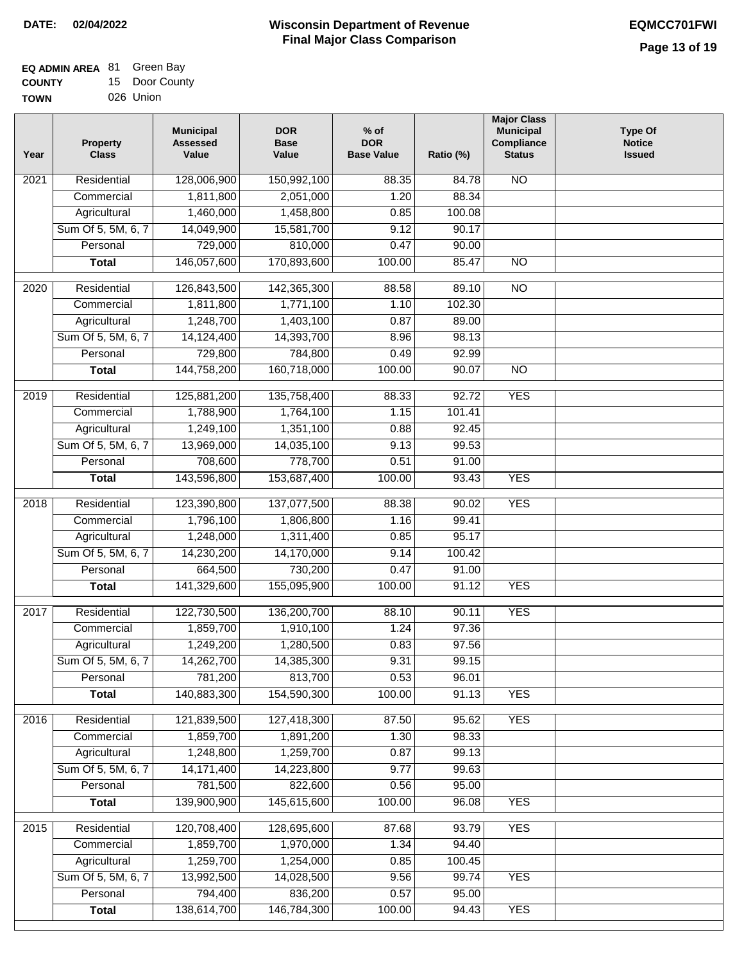| <b>EQ ADMIN AREA 81 Green Bay</b> |                |
|-----------------------------------|----------------|
| <b>COUNTY</b>                     | 15 Door County |
| <b>TOWN</b>                       | 026 Union      |

| .  |           |
|----|-----------|
| 'N | 026 Union |
|    |           |

| Year | <b>Property</b><br><b>Class</b> | <b>Municipal</b><br><b>Assessed</b><br>Value | <b>DOR</b><br><b>Base</b><br>Value | $%$ of<br><b>DOR</b><br><b>Base Value</b> | Ratio (%) | <b>Major Class</b><br><b>Municipal</b><br>Compliance<br><b>Status</b> | <b>Type Of</b><br><b>Notice</b><br><b>Issued</b> |
|------|---------------------------------|----------------------------------------------|------------------------------------|-------------------------------------------|-----------|-----------------------------------------------------------------------|--------------------------------------------------|
| 2021 | Residential                     | 128,006,900                                  | 150,992,100                        | 88.35                                     | 84.78     | <b>NO</b>                                                             |                                                  |
|      | Commercial                      | 1,811,800                                    | 2,051,000                          | 1.20                                      | 88.34     |                                                                       |                                                  |
|      | Agricultural                    | 1,460,000                                    | 1,458,800                          | 0.85                                      | 100.08    |                                                                       |                                                  |
|      | Sum Of 5, 5M, 6, 7              | 14,049,900                                   | 15,581,700                         | 9.12                                      | 90.17     |                                                                       |                                                  |
|      | Personal                        | 729,000                                      | 810,000                            | 0.47                                      | 90.00     |                                                                       |                                                  |
|      | <b>Total</b>                    | 146,057,600                                  | 170,893,600                        | 100.00                                    | 85.47     | $\overline{NO}$                                                       |                                                  |
| 2020 | Residential                     | 126,843,500                                  | 142,365,300                        | 88.58                                     | 89.10     | $\overline{NO}$                                                       |                                                  |
|      | Commercial                      | 1,811,800                                    | 1,771,100                          | 1.10                                      | 102.30    |                                                                       |                                                  |
|      | Agricultural                    | 1,248,700                                    | 1,403,100                          | 0.87                                      | 89.00     |                                                                       |                                                  |
|      | Sum Of 5, 5M, 6, 7              | 14,124,400                                   | 14,393,700                         | 8.96                                      | 98.13     |                                                                       |                                                  |
|      | Personal                        | 729,800                                      | 784,800                            | 0.49                                      | 92.99     |                                                                       |                                                  |
|      | <b>Total</b>                    | 144,758,200                                  | 160,718,000                        | 100.00                                    | 90.07     | $\overline{NO}$                                                       |                                                  |
|      |                                 |                                              |                                    |                                           |           |                                                                       |                                                  |
| 2019 | Residential                     | 125,881,200                                  | 135,758,400                        | 88.33                                     | 92.72     | <b>YES</b>                                                            |                                                  |
|      | Commercial                      | 1,788,900                                    | 1,764,100                          | 1.15                                      | 101.41    |                                                                       |                                                  |
|      | Agricultural                    | 1,249,100                                    | 1,351,100                          | 0.88                                      | 92.45     |                                                                       |                                                  |
|      | Sum Of 5, 5M, 6, 7              | 13,969,000                                   | 14,035,100                         | 9.13                                      | 99.53     |                                                                       |                                                  |
|      | Personal                        | 708,600                                      | 778,700                            | 0.51                                      | 91.00     |                                                                       |                                                  |
|      | <b>Total</b>                    | 143,596,800                                  | 153,687,400                        | 100.00                                    | 93.43     | <b>YES</b>                                                            |                                                  |
| 2018 | Residential                     | 123,390,800                                  | 137,077,500                        | 88.38                                     | 90.02     | <b>YES</b>                                                            |                                                  |
|      | Commercial                      | 1,796,100                                    | 1,806,800                          | 1.16                                      | 99.41     |                                                                       |                                                  |
|      | Agricultural                    | 1,248,000                                    | 1,311,400                          | 0.85                                      | 95.17     |                                                                       |                                                  |
|      | Sum Of 5, 5M, 6, 7              | 14,230,200                                   | 14,170,000                         | 9.14                                      | 100.42    |                                                                       |                                                  |
|      | Personal                        | 664,500                                      | 730,200                            | 0.47                                      | 91.00     |                                                                       |                                                  |
|      | <b>Total</b>                    | 141,329,600                                  | 155,095,900                        | 100.00                                    | 91.12     | <b>YES</b>                                                            |                                                  |
| 2017 | Residential                     | 122,730,500                                  | 136,200,700                        | 88.10                                     | 90.11     | <b>YES</b>                                                            |                                                  |
|      | Commercial                      | 1,859,700                                    | 1,910,100                          | 1.24                                      | 97.36     |                                                                       |                                                  |
|      | Agricultural                    | 1,249,200                                    | 1,280,500                          | 0.83                                      | 97.56     |                                                                       |                                                  |
|      | Sum Of 5, 5M, 6, 7              | 14,262,700                                   | 14,385,300                         | 9.31                                      | 99.15     |                                                                       |                                                  |
|      | Personal                        | 781,200                                      | 813,700                            | 0.53                                      | 96.01     |                                                                       |                                                  |
|      | <b>Total</b>                    | 140,883,300                                  | 154,590,300                        | 100.00                                    | 91.13     | <b>YES</b>                                                            |                                                  |
|      |                                 |                                              |                                    |                                           |           |                                                                       |                                                  |
| 2016 | Residential                     | 121,839,500                                  | 127,418,300                        | 87.50                                     | 95.62     | <b>YES</b>                                                            |                                                  |
|      | Commercial                      | 1,859,700                                    | 1,891,200                          | 1.30                                      | 98.33     |                                                                       |                                                  |
|      | Agricultural                    | 1,248,800                                    | 1,259,700                          | 0.87                                      | 99.13     |                                                                       |                                                  |
|      | Sum Of 5, 5M, 6, 7              | 14, 171, 400                                 | 14,223,800                         | 9.77                                      | 99.63     |                                                                       |                                                  |
|      | Personal                        | 781,500                                      | 822,600                            | 0.56                                      | 95.00     |                                                                       |                                                  |
|      | <b>Total</b>                    | 139,900,900                                  | 145,615,600                        | 100.00                                    | 96.08     | <b>YES</b>                                                            |                                                  |
| 2015 | Residential                     | 120,708,400                                  | 128,695,600                        | 87.68                                     | 93.79     | <b>YES</b>                                                            |                                                  |
|      | Commercial                      | 1,859,700                                    | 1,970,000                          | 1.34                                      | 94.40     |                                                                       |                                                  |
|      | Agricultural                    | 1,259,700                                    | 1,254,000                          | 0.85                                      | 100.45    |                                                                       |                                                  |
|      | Sum Of 5, 5M, 6, 7              | 13,992,500                                   | 14,028,500                         | 9.56                                      | 99.74     | <b>YES</b>                                                            |                                                  |
|      | Personal                        | 794,400                                      | 836,200                            | 0.57                                      | 95.00     |                                                                       |                                                  |
|      | <b>Total</b>                    | 138,614,700                                  | 146,784,300                        | 100.00                                    | 94.43     | <b>YES</b>                                                            |                                                  |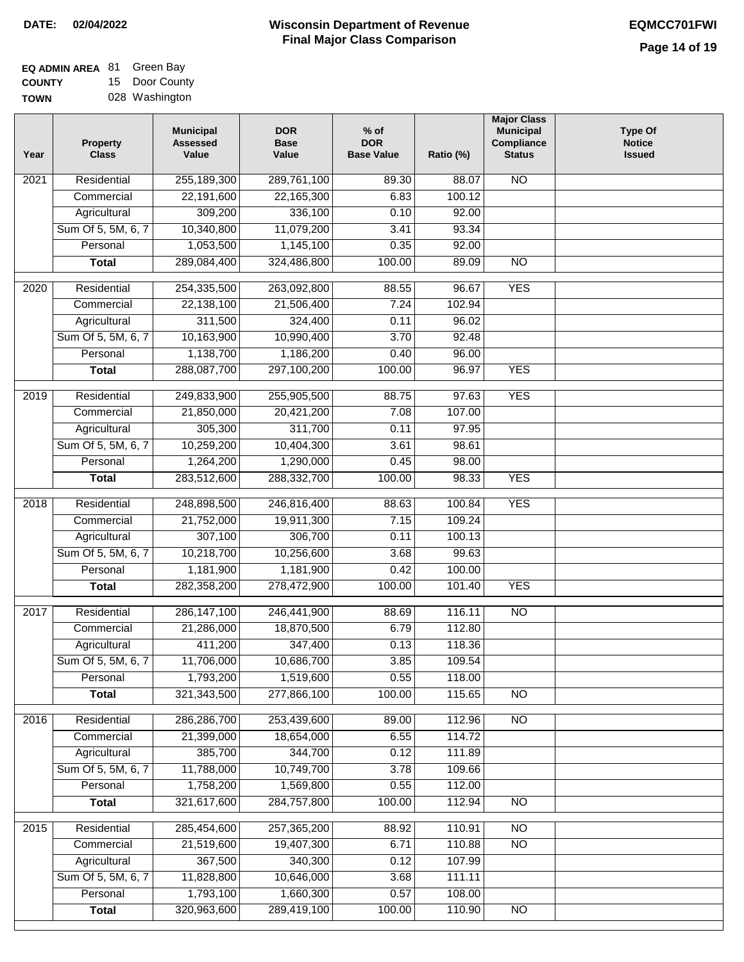| <b>EQ ADMIN AREA 81 Green Bay</b> |                |
|-----------------------------------|----------------|
| <b>COUNTY</b>                     | 15 Door County |
| <b>TOWN</b>                       | 028 Washington |

| Year | <b>Property</b><br><b>Class</b> | <b>Municipal</b><br><b>Assessed</b><br>Value | <b>DOR</b><br><b>Base</b><br>Value | $%$ of<br><b>DOR</b><br><b>Base Value</b> | Ratio (%) | <b>Major Class</b><br><b>Municipal</b><br>Compliance<br><b>Status</b> | <b>Type Of</b><br><b>Notice</b><br><b>Issued</b> |
|------|---------------------------------|----------------------------------------------|------------------------------------|-------------------------------------------|-----------|-----------------------------------------------------------------------|--------------------------------------------------|
| 2021 | Residential                     | 255,189,300                                  | 289,761,100                        | 89.30                                     | 88.07     | <b>NO</b>                                                             |                                                  |
|      | Commercial                      | 22,191,600                                   | 22,165,300                         | 6.83                                      | 100.12    |                                                                       |                                                  |
|      | Agricultural                    | 309,200                                      | 336,100                            | 0.10                                      | 92.00     |                                                                       |                                                  |
|      | Sum Of 5, 5M, 6, 7              | 10,340,800                                   | 11,079,200                         | 3.41                                      | 93.34     |                                                                       |                                                  |
|      | Personal                        | 1,053,500                                    | 1,145,100                          | 0.35                                      | 92.00     |                                                                       |                                                  |
|      | <b>Total</b>                    | 289,084,400                                  | 324,486,800                        | 100.00                                    | 89.09     | $\overline{NO}$                                                       |                                                  |
| 2020 | Residential                     | 254,335,500                                  | 263,092,800                        | 88.55                                     | 96.67     | <b>YES</b>                                                            |                                                  |
|      | Commercial                      | 22,138,100                                   | 21,506,400                         | 7.24                                      | 102.94    |                                                                       |                                                  |
|      | Agricultural                    | 311,500                                      | 324,400                            | 0.11                                      | 96.02     |                                                                       |                                                  |
|      | Sum Of 5, 5M, 6, 7              | 10,163,900                                   | 10,990,400                         | 3.70                                      | 92.48     |                                                                       |                                                  |
|      | Personal                        | 1,138,700                                    | 1,186,200                          | 0.40                                      | 96.00     |                                                                       |                                                  |
|      | <b>Total</b>                    | 288,087,700                                  | 297,100,200                        | 100.00                                    | 96.97     | <b>YES</b>                                                            |                                                  |
| 2019 | Residential                     | 249,833,900                                  | 255,905,500                        | 88.75                                     | 97.63     | <b>YES</b>                                                            |                                                  |
|      | Commercial                      | 21,850,000                                   | 20,421,200                         | 7.08                                      | 107.00    |                                                                       |                                                  |
|      | Agricultural                    | 305,300                                      | 311,700                            | 0.11                                      | 97.95     |                                                                       |                                                  |
|      | Sum Of 5, 5M, 6, 7              | 10,259,200                                   | 10,404,300                         | 3.61                                      | 98.61     |                                                                       |                                                  |
|      | Personal                        | 1,264,200                                    | 1,290,000                          | 0.45                                      | 98.00     |                                                                       |                                                  |
|      | <b>Total</b>                    | 283,512,600                                  | 288,332,700                        | 100.00                                    | 98.33     | <b>YES</b>                                                            |                                                  |
| 2018 | Residential                     | 248,898,500                                  | 246,816,400                        | 88.63                                     | 100.84    | <b>YES</b>                                                            |                                                  |
|      | Commercial                      | 21,752,000                                   | 19,911,300                         | 7.15                                      | 109.24    |                                                                       |                                                  |
|      | Agricultural                    | 307,100                                      | 306,700                            | 0.11                                      | 100.13    |                                                                       |                                                  |
|      | Sum Of 5, 5M, 6, 7              | 10,218,700                                   | 10,256,600                         | 3.68                                      | 99.63     |                                                                       |                                                  |
|      | Personal                        | 1,181,900                                    | 1,181,900                          | 0.42                                      | 100.00    |                                                                       |                                                  |
|      | <b>Total</b>                    | 282,358,200                                  | 278,472,900                        | 100.00                                    | 101.40    | <b>YES</b>                                                            |                                                  |
| 2017 | Residential                     | 286, 147, 100                                | 246,441,900                        | 88.69                                     | 116.11    | <b>NO</b>                                                             |                                                  |
|      | Commercial                      | 21,286,000                                   | 18,870,500                         | 6.79                                      | 112.80    |                                                                       |                                                  |
|      | Agricultural                    | 411,200                                      | 347,400                            | 0.13                                      | 118.36    |                                                                       |                                                  |
|      | Sum Of 5, 5M, 6, 7              | 11,706,000                                   | 10,686,700                         | 3.85                                      | 109.54    |                                                                       |                                                  |
|      | Personal                        | 1,793,200                                    | 1,519,600                          | 0.55                                      | 118.00    |                                                                       |                                                  |
|      | <b>Total</b>                    | 321,343,500                                  | 277,866,100                        | 100.00                                    | 115.65    | <b>NO</b>                                                             |                                                  |
| 2016 | Residential                     | 286,286,700                                  | 253,439,600                        | 89.00                                     | 112.96    | $\overline{NO}$                                                       |                                                  |
|      | Commercial                      | 21,399,000                                   | 18,654,000                         | 6.55                                      | 114.72    |                                                                       |                                                  |
|      | Agricultural                    | 385,700                                      | 344,700                            | 0.12                                      | 111.89    |                                                                       |                                                  |
|      | Sum Of 5, 5M, 6, 7              | 11,788,000                                   | 10,749,700                         | 3.78                                      | 109.66    |                                                                       |                                                  |
|      | Personal                        | 1,758,200                                    | 1,569,800                          | 0.55                                      | 112.00    |                                                                       |                                                  |
|      | <b>Total</b>                    | 321,617,600                                  | 284,757,800                        | 100.00                                    | 112.94    | N <sub>O</sub>                                                        |                                                  |
| 2015 | Residential                     | 285,454,600                                  | 257,365,200                        | 88.92                                     | 110.91    | $\overline{NO}$                                                       |                                                  |
|      | Commercial                      | 21,519,600                                   | 19,407,300                         | 6.71                                      | 110.88    | $\overline{NO}$                                                       |                                                  |
|      | Agricultural                    | 367,500                                      | 340,300                            | 0.12                                      | 107.99    |                                                                       |                                                  |
|      | Sum Of 5, 5M, 6, 7              | 11,828,800                                   | 10,646,000                         | 3.68                                      | 111.11    |                                                                       |                                                  |
|      | Personal                        | 1,793,100                                    | 1,660,300                          | 0.57                                      | 108.00    |                                                                       |                                                  |
|      | <b>Total</b>                    | 320,963,600                                  | 289,419,100                        | 100.00                                    | 110.90    | NO                                                                    |                                                  |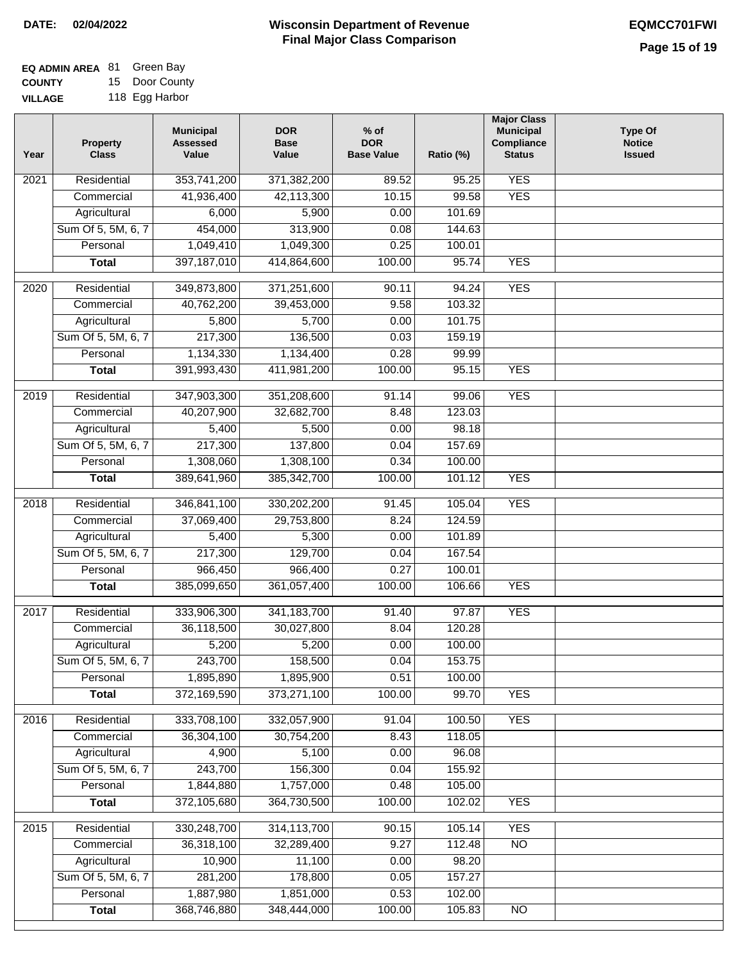| <b>EQ ADMIN AREA 81 Green Bay</b> |                |
|-----------------------------------|----------------|
| <b>COUNTY</b>                     | 15 Door County |
| <b>VILLAGE</b>                    | 118 Egg Harbor |

| Year              | <b>Property</b><br><b>Class</b> | <b>Municipal</b><br><b>Assessed</b><br>Value | <b>DOR</b><br><b>Base</b><br>Value | % of<br><b>DOR</b><br><b>Base Value</b> | Ratio (%) | <b>Major Class</b><br><b>Municipal</b><br>Compliance<br><b>Status</b> | <b>Type Of</b><br><b>Notice</b><br><b>Issued</b> |
|-------------------|---------------------------------|----------------------------------------------|------------------------------------|-----------------------------------------|-----------|-----------------------------------------------------------------------|--------------------------------------------------|
| 2021              | Residential                     | 353,741,200                                  | 371,382,200                        | 89.52                                   | 95.25     | <b>YES</b>                                                            |                                                  |
|                   | Commercial                      | 41,936,400                                   | 42,113,300                         | 10.15                                   | 99.58     | <b>YES</b>                                                            |                                                  |
|                   | Agricultural                    | 6,000                                        | 5,900                              | 0.00                                    | 101.69    |                                                                       |                                                  |
|                   | Sum Of 5, 5M, 6, 7              | 454,000                                      | 313,900                            | 0.08                                    | 144.63    |                                                                       |                                                  |
|                   | Personal                        | 1,049,410                                    | 1,049,300                          | 0.25                                    | 100.01    |                                                                       |                                                  |
|                   | <b>Total</b>                    | 397, 187, 010                                | 414,864,600                        | 100.00                                  | 95.74     | <b>YES</b>                                                            |                                                  |
| $\overline{2020}$ | Residential                     | 349,873,800                                  | 371,251,600                        | 90.11                                   | 94.24     | <b>YES</b>                                                            |                                                  |
|                   | Commercial                      | 40,762,200                                   | 39,453,000                         | 9.58                                    | 103.32    |                                                                       |                                                  |
|                   | Agricultural                    | 5,800                                        | 5,700                              | 0.00                                    | 101.75    |                                                                       |                                                  |
|                   | Sum Of 5, 5M, 6, 7              | 217,300                                      | 136,500                            | 0.03                                    | 159.19    |                                                                       |                                                  |
|                   | Personal                        | 1,134,330                                    | 1,134,400                          | 0.28                                    | 99.99     |                                                                       |                                                  |
|                   | <b>Total</b>                    | 391,993,430                                  | 411,981,200                        | 100.00                                  | 95.15     | <b>YES</b>                                                            |                                                  |
|                   |                                 |                                              |                                    |                                         |           |                                                                       |                                                  |
| 2019              | Residential                     | 347,903,300                                  | 351,208,600                        | 91.14                                   | 99.06     | <b>YES</b>                                                            |                                                  |
|                   | Commercial                      | 40,207,900                                   | 32,682,700                         | 8.48                                    | 123.03    |                                                                       |                                                  |
|                   | Agricultural                    | 5,400                                        | 5,500                              | 0.00                                    | 98.18     |                                                                       |                                                  |
|                   | Sum Of 5, 5M, 6, 7              | 217,300                                      | 137,800                            | 0.04                                    | 157.69    |                                                                       |                                                  |
|                   | Personal                        | 1,308,060                                    | 1,308,100                          | 0.34                                    | 100.00    |                                                                       |                                                  |
|                   | <b>Total</b>                    | 389,641,960                                  | 385, 342, 700                      | 100.00                                  | 101.12    | <b>YES</b>                                                            |                                                  |
| 2018              | Residential                     | 346,841,100                                  | 330,202,200                        | 91.45                                   | 105.04    | <b>YES</b>                                                            |                                                  |
|                   | Commercial                      | 37,069,400                                   | 29,753,800                         | 8.24                                    | 124.59    |                                                                       |                                                  |
|                   | Agricultural                    | 5,400                                        | 5,300                              | 0.00                                    | 101.89    |                                                                       |                                                  |
|                   | Sum Of 5, 5M, 6, 7              | 217,300                                      | 129,700                            | 0.04                                    | 167.54    |                                                                       |                                                  |
|                   | Personal                        | 966,450                                      | 966,400                            | 0.27                                    | 100.01    |                                                                       |                                                  |
|                   | <b>Total</b>                    | 385,099,650                                  | 361,057,400                        | 100.00                                  | 106.66    | <b>YES</b>                                                            |                                                  |
| 2017              | Residential                     | 333,906,300                                  | 341, 183, 700                      | 91.40                                   | 97.87     | <b>YES</b>                                                            |                                                  |
|                   | Commercial                      | 36,118,500                                   | 30,027,800                         | 8.04                                    | 120.28    |                                                                       |                                                  |
|                   | Agricultural                    | 5,200                                        | 5,200                              | 0.00                                    | 100.00    |                                                                       |                                                  |
|                   | Sum Of 5, 5M, 6, 7              | 243,700                                      | 158,500                            | 0.04                                    | 153.75    |                                                                       |                                                  |
|                   | Personal                        | 1,895,890                                    | 1,895,900                          | 0.51                                    | 100.00    |                                                                       |                                                  |
|                   | <b>Total</b>                    | 372,169,590                                  | 373,271,100                        | 100.00                                  | 99.70     | <b>YES</b>                                                            |                                                  |
| 2016              | Residential                     | 333,708,100                                  | 332,057,900                        | 91.04                                   | 100.50    | <b>YES</b>                                                            |                                                  |
|                   | Commercial                      | 36,304,100                                   | 30,754,200                         | 8.43                                    | 118.05    |                                                                       |                                                  |
|                   | Agricultural                    | 4,900                                        | 5,100                              | 0.00                                    | 96.08     |                                                                       |                                                  |
|                   | Sum Of 5, 5M, 6, 7              | 243,700                                      | 156,300                            | 0.04                                    | 155.92    |                                                                       |                                                  |
|                   | Personal                        | 1,844,880                                    | 1,757,000                          | 0.48                                    | 105.00    |                                                                       |                                                  |
|                   | <b>Total</b>                    | 372,105,680                                  | 364,730,500                        | 100.00                                  | 102.02    | <b>YES</b>                                                            |                                                  |
| 2015              | Residential                     | 330,248,700                                  | 314,113,700                        | 90.15                                   | 105.14    | <b>YES</b>                                                            |                                                  |
|                   | Commercial                      | 36,318,100                                   | 32,289,400                         | 9.27                                    | 112.48    | $\overline{NO}$                                                       |                                                  |
|                   | Agricultural                    | 10,900                                       | 11,100                             | 0.00                                    | 98.20     |                                                                       |                                                  |
|                   | Sum Of 5, 5M, 6, 7              | 281,200                                      | 178,800                            | 0.05                                    | 157.27    |                                                                       |                                                  |
|                   | Personal                        | 1,887,980                                    | 1,851,000                          | 0.53                                    | 102.00    |                                                                       |                                                  |
|                   | <b>Total</b>                    | 368,746,880                                  | 348,444,000                        | 100.00                                  | 105.83    | N <sub>O</sub>                                                        |                                                  |
|                   |                                 |                                              |                                    |                                         |           |                                                                       |                                                  |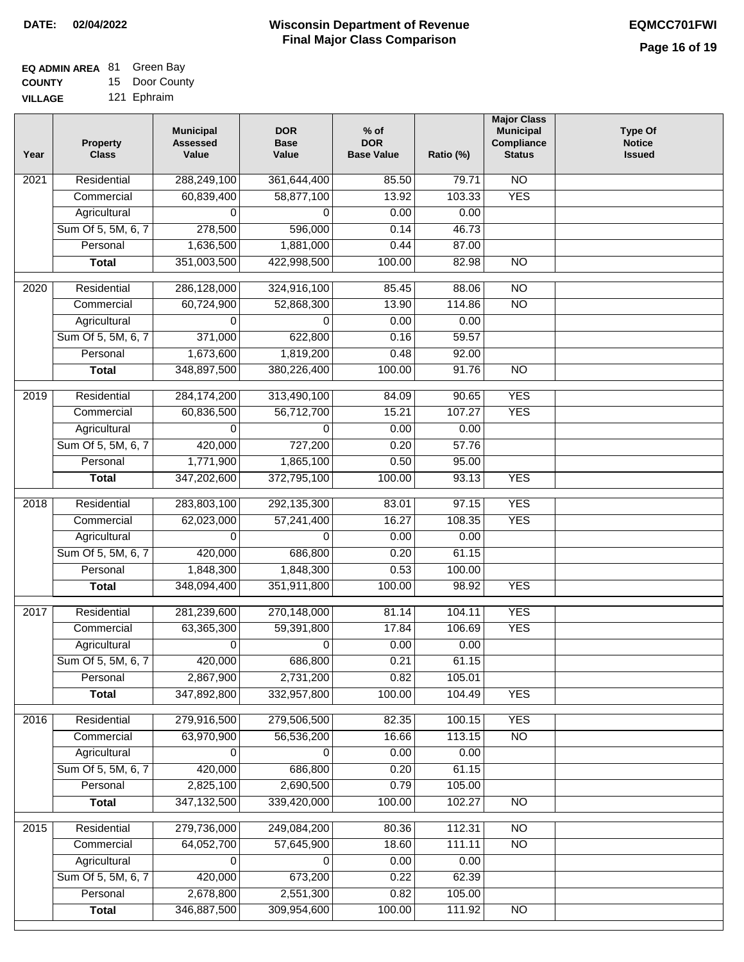| <b>EQ ADMIN AREA 81 Green Bay</b> |                |
|-----------------------------------|----------------|
| <b>COUNTY</b>                     | 15 Door County |

**VILLAGE** 121 Ephraim

| Year              | <b>Property</b><br><b>Class</b>    | <b>Municipal</b><br><b>Assessed</b><br>Value | <b>DOR</b><br><b>Base</b><br>Value | $%$ of<br><b>DOR</b><br><b>Base Value</b> | Ratio (%)        | <b>Major Class</b><br><b>Municipal</b><br>Compliance<br><b>Status</b> | <b>Type Of</b><br><b>Notice</b><br><b>Issued</b> |
|-------------------|------------------------------------|----------------------------------------------|------------------------------------|-------------------------------------------|------------------|-----------------------------------------------------------------------|--------------------------------------------------|
| $\overline{202}1$ | Residential                        | 288,249,100                                  | 361,644,400                        | 85.50                                     | 79.71            | N <sub>O</sub>                                                        |                                                  |
|                   | Commercial                         | 60,839,400                                   | 58,877,100                         | 13.92                                     | 103.33           | <b>YES</b>                                                            |                                                  |
|                   | Agricultural                       | 0                                            | 0                                  | 0.00                                      | 0.00             |                                                                       |                                                  |
|                   | Sum Of 5, 5M, 6, 7                 | 278,500                                      | 596,000                            | 0.14                                      | 46.73            |                                                                       |                                                  |
|                   | Personal                           | 1,636,500                                    | 1,881,000                          | 0.44                                      | 87.00            |                                                                       |                                                  |
|                   | <b>Total</b>                       | 351,003,500                                  | 422,998,500                        | 100.00                                    | 82.98            | $\overline{NO}$                                                       |                                                  |
| $\overline{2020}$ | Residential                        | 286,128,000                                  | 324,916,100                        | 85.45                                     | 88.06            | $\overline{NO}$                                                       |                                                  |
|                   | Commercial                         | 60,724,900                                   | 52,868,300                         | 13.90                                     | 114.86           | $\overline{NO}$                                                       |                                                  |
|                   | Agricultural                       | 0                                            | 0                                  | 0.00                                      | 0.00             |                                                                       |                                                  |
|                   | Sum Of 5, 5M, 6, 7                 | 371,000                                      | 622,800                            | 0.16                                      | 59.57            |                                                                       |                                                  |
|                   | Personal                           | 1,673,600                                    | 1,819,200                          | 0.48                                      | 92.00            |                                                                       |                                                  |
|                   | <b>Total</b>                       | 348,897,500                                  | 380,226,400                        | 100.00                                    | 91.76            | $\overline{NO}$                                                       |                                                  |
| 2019              | Residential                        | 284,174,200                                  | 313,490,100                        | 84.09                                     | 90.65            | <b>YES</b>                                                            |                                                  |
|                   | Commercial                         | 60,836,500                                   | 56,712,700                         | 15.21                                     | 107.27           | <b>YES</b>                                                            |                                                  |
|                   | Agricultural                       | 0                                            | 0                                  | 0.00                                      | 0.00             |                                                                       |                                                  |
|                   | Sum Of 5, 5M, 6, 7                 | 420,000                                      | 727,200                            | 0.20                                      | 57.76            |                                                                       |                                                  |
|                   | Personal                           | 1,771,900                                    | 1,865,100                          | 0.50                                      | 95.00            |                                                                       |                                                  |
|                   | <b>Total</b>                       | 347,202,600                                  | 372,795,100                        | 100.00                                    | 93.13            | <b>YES</b>                                                            |                                                  |
| 2018              | Residential                        | 283,803,100                                  | 292,135,300                        | 83.01                                     | 97.15            | <b>YES</b>                                                            |                                                  |
|                   | Commercial                         | 62,023,000                                   | 57,241,400                         | 16.27                                     | 108.35           | <b>YES</b>                                                            |                                                  |
|                   | Agricultural                       | 0                                            | 0                                  | 0.00                                      | 0.00             |                                                                       |                                                  |
|                   | Sum Of 5, 5M, 6, 7                 | 420,000                                      | 686,800                            | 0.20                                      | 61.15            |                                                                       |                                                  |
|                   | Personal                           | 1,848,300                                    | 1,848,300                          | 0.53                                      | 100.00           |                                                                       |                                                  |
|                   | <b>Total</b>                       | 348,094,400                                  | 351,911,800                        | 100.00                                    | 98.92            | <b>YES</b>                                                            |                                                  |
|                   |                                    |                                              |                                    |                                           |                  |                                                                       |                                                  |
| 2017              | Residential                        | 281,239,600                                  | 270,148,000                        | 81.14                                     | 104.11<br>106.69 | <b>YES</b>                                                            |                                                  |
|                   | Commercial                         | 63,365,300                                   | 59,391,800<br>0                    | 17.84                                     |                  | <b>YES</b>                                                            |                                                  |
|                   | Agricultural<br>Sum Of 5, 5M, 6, 7 | 0<br>420,000                                 | 686,800                            | 0.00<br>0.21                              | 0.00<br>61.15    |                                                                       |                                                  |
|                   | Personal                           | 2,867,900                                    | 2,731,200                          | 0.82                                      | 105.01           |                                                                       |                                                  |
|                   | <b>Total</b>                       | 347,892,800                                  | 332,957,800                        | 100.00                                    | 104.49           | <b>YES</b>                                                            |                                                  |
| 2016              | Residential                        | 279,916,500                                  | 279,506,500                        | 82.35                                     | 100.15           | <b>YES</b>                                                            |                                                  |
|                   | Commercial                         | 63,970,900                                   | 56,536,200                         | 16.66                                     | 113.15           | N <sub>O</sub>                                                        |                                                  |
|                   | Agricultural                       | 0                                            | 0                                  | 0.00                                      | 0.00             |                                                                       |                                                  |
|                   | Sum Of 5, 5M, 6, 7                 | 420,000                                      | 686,800                            | 0.20                                      | 61.15            |                                                                       |                                                  |
|                   | Personal                           | 2,825,100                                    | 2,690,500                          | 0.79                                      | 105.00           |                                                                       |                                                  |
|                   | <b>Total</b>                       | 347, 132, 500                                | 339,420,000                        | 100.00                                    | 102.27           | <b>NO</b>                                                             |                                                  |
| 2015              | Residential                        | 279,736,000                                  | 249,084,200                        | 80.36                                     | 112.31           | <b>NO</b>                                                             |                                                  |
|                   | Commercial                         | 64,052,700                                   | 57,645,900                         | 18.60                                     | 111.11           | N <sub>O</sub>                                                        |                                                  |
|                   | Agricultural                       | 0                                            | 0                                  | 0.00                                      | 0.00             |                                                                       |                                                  |
|                   | Sum Of 5, 5M, 6, 7                 | 420,000                                      | 673,200                            | 0.22                                      | 62.39            |                                                                       |                                                  |
|                   | Personal                           | 2,678,800                                    | 2,551,300                          | 0.82                                      | 105.00           |                                                                       |                                                  |
|                   | <b>Total</b>                       | 346,887,500                                  | 309,954,600                        | 100.00                                    | 111.92           | NO                                                                    |                                                  |
|                   |                                    |                                              |                                    |                                           |                  |                                                                       |                                                  |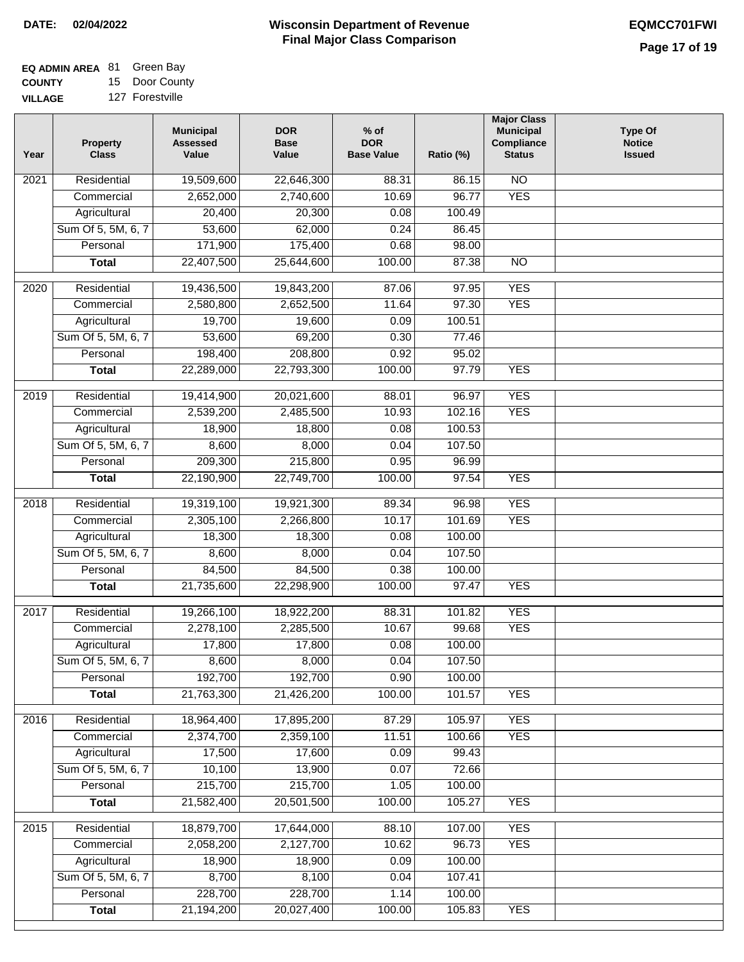| <b>EQ ADMIN AREA 81 Green Bay</b> |                |
|-----------------------------------|----------------|
| <b>COUNTY</b>                     | 15 Door County |

**VILLAGE** 127 Forestville

| Year              | <b>Property</b><br><b>Class</b> | <b>Municipal</b><br><b>Assessed</b><br>Value | <b>DOR</b><br><b>Base</b><br>Value | $%$ of<br><b>DOR</b><br><b>Base Value</b> | Ratio (%) | <b>Major Class</b><br><b>Municipal</b><br>Compliance<br><b>Status</b> | <b>Type Of</b><br><b>Notice</b><br><b>Issued</b> |
|-------------------|---------------------------------|----------------------------------------------|------------------------------------|-------------------------------------------|-----------|-----------------------------------------------------------------------|--------------------------------------------------|
| 2021              | Residential                     | 19,509,600                                   | 22,646,300                         | 88.31                                     | 86.15     | <b>NO</b>                                                             |                                                  |
|                   | Commercial                      | 2,652,000                                    | 2,740,600                          | 10.69                                     | 96.77     | <b>YES</b>                                                            |                                                  |
|                   | Agricultural                    | 20,400                                       | 20,300                             | 0.08                                      | 100.49    |                                                                       |                                                  |
|                   | Sum Of 5, 5M, 6, 7              | 53,600                                       | 62,000                             | 0.24                                      | 86.45     |                                                                       |                                                  |
|                   | Personal                        | 171,900                                      | 175,400                            | 0.68                                      | 98.00     |                                                                       |                                                  |
|                   | <b>Total</b>                    | 22,407,500                                   | 25,644,600                         | 100.00                                    | 87.38     | $\overline{NO}$                                                       |                                                  |
| $\overline{20}20$ | Residential                     | 19,436,500                                   | 19,843,200                         | 87.06                                     | 97.95     | <b>YES</b>                                                            |                                                  |
|                   | Commercial                      | 2,580,800                                    | 2,652,500                          | 11.64                                     | 97.30     | <b>YES</b>                                                            |                                                  |
|                   | Agricultural                    | 19,700                                       | 19,600                             | 0.09                                      | 100.51    |                                                                       |                                                  |
|                   | Sum Of 5, 5M, 6, 7              | 53,600                                       | 69,200                             | 0.30                                      | 77.46     |                                                                       |                                                  |
|                   | Personal                        | 198,400                                      | 208,800                            | 0.92                                      | 95.02     |                                                                       |                                                  |
|                   | <b>Total</b>                    | 22,289,000                                   | 22,793,300                         | 100.00                                    | 97.79     | <b>YES</b>                                                            |                                                  |
|                   |                                 |                                              |                                    |                                           |           |                                                                       |                                                  |
| $\frac{1}{2019}$  | Residential                     | 19,414,900                                   | 20,021,600                         | 88.01                                     | 96.97     | <b>YES</b>                                                            |                                                  |
|                   | Commercial                      | 2,539,200                                    | 2,485,500                          | 10.93                                     | 102.16    | <b>YES</b>                                                            |                                                  |
|                   | Agricultural                    | 18,900                                       | 18,800                             | 0.08                                      | 100.53    |                                                                       |                                                  |
|                   | Sum Of 5, 5M, 6, 7              | 8,600                                        | 8,000                              | 0.04                                      | 107.50    |                                                                       |                                                  |
|                   | Personal                        | 209,300                                      | 215,800                            | 0.95                                      | 96.99     |                                                                       |                                                  |
|                   | <b>Total</b>                    | 22,190,900                                   | 22,749,700                         | 100.00                                    | 97.54     | <b>YES</b>                                                            |                                                  |
| 2018              | Residential                     | 19,319,100                                   | 19,921,300                         | 89.34                                     | 96.98     | <b>YES</b>                                                            |                                                  |
|                   | Commercial                      | 2,305,100                                    | 2,266,800                          | 10.17                                     | 101.69    | <b>YES</b>                                                            |                                                  |
|                   | Agricultural                    | 18,300                                       | 18,300                             | 0.08                                      | 100.00    |                                                                       |                                                  |
|                   | Sum Of 5, 5M, 6, 7              | 8,600                                        | 8,000                              | 0.04                                      | 107.50    |                                                                       |                                                  |
|                   | Personal                        | 84,500                                       | 84,500                             | 0.38                                      | 100.00    |                                                                       |                                                  |
|                   | <b>Total</b>                    | 21,735,600                                   | 22,298,900                         | 100.00                                    | 97.47     | <b>YES</b>                                                            |                                                  |
| 2017              | Residential                     | 19,266,100                                   | 18,922,200                         | 88.31                                     | 101.82    | <b>YES</b>                                                            |                                                  |
|                   | Commercial                      | 2,278,100                                    | 2,285,500                          | 10.67                                     | 99.68     | <b>YES</b>                                                            |                                                  |
|                   | Agricultural                    | 17,800                                       | 17,800                             | 0.08                                      | 100.00    |                                                                       |                                                  |
|                   | Sum Of 5, 5M, 6, 7              | 8,600                                        | 8,000                              | 0.04                                      | 107.50    |                                                                       |                                                  |
|                   | Personal                        | 192,700                                      | 192,700                            | 0.90                                      | 100.00    |                                                                       |                                                  |
|                   | <b>Total</b>                    | 21,763,300                                   | 21,426,200                         | 100.00                                    | 101.57    | <b>YES</b>                                                            |                                                  |
|                   |                                 |                                              |                                    |                                           |           |                                                                       |                                                  |
| 2016              | Residential                     | 18,964,400                                   | 17,895,200                         | 87.29                                     | 105.97    | <b>YES</b>                                                            |                                                  |
|                   | Commercial                      | 2,374,700                                    | 2,359,100                          | 11.51                                     | 100.66    | <b>YES</b>                                                            |                                                  |
|                   | Agricultural                    | 17,500                                       | 17,600                             | 0.09                                      | 99.43     |                                                                       |                                                  |
|                   | Sum Of 5, 5M, 6, 7              | 10,100                                       | 13,900                             | 0.07                                      | 72.66     |                                                                       |                                                  |
|                   | Personal                        | 215,700                                      | 215,700                            | 1.05                                      | 100.00    |                                                                       |                                                  |
|                   | <b>Total</b>                    | 21,582,400                                   | 20,501,500                         | 100.00                                    | 105.27    | <b>YES</b>                                                            |                                                  |
| 2015              | Residential                     | 18,879,700                                   | 17,644,000                         | 88.10                                     | 107.00    | <b>YES</b>                                                            |                                                  |
|                   | Commercial                      | 2,058,200                                    | 2,127,700                          | 10.62                                     | 96.73     | <b>YES</b>                                                            |                                                  |
|                   | Agricultural                    | 18,900                                       | 18,900                             | 0.09                                      | 100.00    |                                                                       |                                                  |
|                   | Sum Of 5, 5M, 6, 7              | 8,700                                        | 8,100                              | 0.04                                      | 107.41    |                                                                       |                                                  |
|                   | Personal                        | 228,700                                      | 228,700                            | 1.14                                      | 100.00    |                                                                       |                                                  |
|                   | <b>Total</b>                    | 21,194,200                                   | 20,027,400                         | 100.00                                    | 105.83    | <b>YES</b>                                                            |                                                  |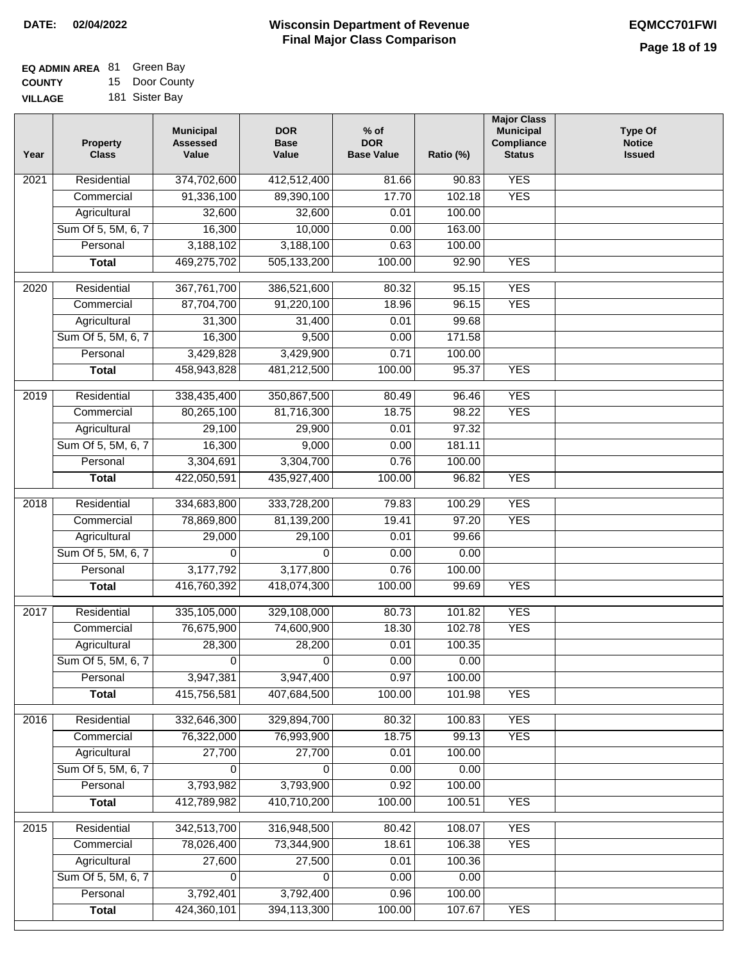| <b>EQ ADMIN AREA 81 Green Bay</b> |                |
|-----------------------------------|----------------|
| <b>COUNTY</b>                     | 15 Door County |
| <b>VILLAGE</b>                    | 181 Sister Bay |

| Year              | Property<br><b>Class</b> | <b>Municipal</b><br><b>Assessed</b><br>Value | <b>DOR</b><br><b>Base</b><br>Value | $%$ of<br><b>DOR</b><br><b>Base Value</b> | Ratio (%) | <b>Major Class</b><br><b>Municipal</b><br><b>Compliance</b><br><b>Status</b> | <b>Type Of</b><br><b>Notice</b><br><b>Issued</b> |
|-------------------|--------------------------|----------------------------------------------|------------------------------------|-------------------------------------------|-----------|------------------------------------------------------------------------------|--------------------------------------------------|
| 2021              | Residential              | 374,702,600                                  | 412,512,400                        | 81.66                                     | 90.83     | <b>YES</b>                                                                   |                                                  |
|                   | Commercial               | 91,336,100                                   | 89,390,100                         | 17.70                                     | 102.18    | <b>YES</b>                                                                   |                                                  |
|                   | Agricultural             | 32,600                                       | 32,600                             | 0.01                                      | 100.00    |                                                                              |                                                  |
|                   | Sum Of 5, 5M, 6, 7       | 16,300                                       | 10,000                             | 0.00                                      | 163.00    |                                                                              |                                                  |
|                   | Personal                 | 3,188,102                                    | 3,188,100                          | 0.63                                      | 100.00    |                                                                              |                                                  |
|                   | <b>Total</b>             | 469,275,702                                  | 505,133,200                        | 100.00                                    | 92.90     | <b>YES</b>                                                                   |                                                  |
| $\overline{2020}$ | Residential              | 367,761,700                                  | 386,521,600                        | 80.32                                     | 95.15     | <b>YES</b>                                                                   |                                                  |
|                   | Commercial               | 87,704,700                                   | 91,220,100                         | 18.96                                     | 96.15     | <b>YES</b>                                                                   |                                                  |
|                   | Agricultural             | 31,300                                       | 31,400                             | 0.01                                      | 99.68     |                                                                              |                                                  |
|                   | Sum Of 5, 5M, 6, 7       | 16,300                                       | 9,500                              | 0.00                                      | 171.58    |                                                                              |                                                  |
|                   | Personal                 | 3,429,828                                    | 3,429,900                          | 0.71                                      | 100.00    |                                                                              |                                                  |
|                   | <b>Total</b>             | 458,943,828                                  | 481,212,500                        | 100.00                                    | 95.37     | <b>YES</b>                                                                   |                                                  |
|                   |                          |                                              |                                    |                                           |           |                                                                              |                                                  |
| $\frac{1}{2019}$  | Residential              | 338,435,400                                  | 350,867,500                        | 80.49                                     | 96.46     | <b>YES</b>                                                                   |                                                  |
|                   | Commercial               | 80,265,100                                   | 81,716,300                         | 18.75                                     | 98.22     | <b>YES</b>                                                                   |                                                  |
|                   | Agricultural             | 29,100                                       | 29,900                             | 0.01                                      | 97.32     |                                                                              |                                                  |
|                   | Sum Of 5, 5M, 6, 7       | 16,300                                       | 9,000                              | 0.00                                      | 181.11    |                                                                              |                                                  |
|                   | Personal                 | 3,304,691                                    | 3,304,700                          | 0.76                                      | 100.00    |                                                                              |                                                  |
|                   | <b>Total</b>             | 422,050,591                                  | 435,927,400                        | 100.00                                    | 96.82     | <b>YES</b>                                                                   |                                                  |
| 2018              | Residential              | 334,683,800                                  | 333,728,200                        | 79.83                                     | 100.29    | <b>YES</b>                                                                   |                                                  |
|                   | Commercial               | 78,869,800                                   | 81,139,200                         | 19.41                                     | 97.20     | <b>YES</b>                                                                   |                                                  |
|                   | Agricultural             | 29,000                                       | 29,100                             | 0.01                                      | 99.66     |                                                                              |                                                  |
|                   | Sum Of 5, 5M, 6, 7       | $\Omega$                                     | $\Omega$                           | 0.00                                      | 0.00      |                                                                              |                                                  |
|                   | Personal                 | 3,177,792                                    | 3,177,800                          | 0.76                                      | 100.00    |                                                                              |                                                  |
|                   | <b>Total</b>             | 416,760,392                                  | 418,074,300                        | 100.00                                    | 99.69     | <b>YES</b>                                                                   |                                                  |
|                   |                          |                                              |                                    |                                           |           |                                                                              |                                                  |
| 2017              | Residential              | 335,105,000                                  | 329,108,000                        | 80.73                                     | 101.82    | <b>YES</b>                                                                   |                                                  |
|                   | Commercial               | 76,675,900                                   | 74,600,900                         | 18.30                                     | 102.78    | <b>YES</b>                                                                   |                                                  |
|                   | Agricultural             | 28,300                                       | 28,200                             | 0.01                                      | 100.35    |                                                                              |                                                  |
|                   | Sum Of 5, 5M, 6, 7       | 0                                            | 0                                  | 0.00                                      | 0.00      |                                                                              |                                                  |
|                   | Personal                 | 3,947,381                                    | 3,947,400                          | 0.97                                      | 100.00    |                                                                              |                                                  |
|                   | <b>Total</b>             | 415,756,581                                  | 407,684,500                        | 100.00                                    | 101.98    | <b>YES</b>                                                                   |                                                  |
| 2016              | Residential              | 332,646,300                                  | 329,894,700                        | 80.32                                     | 100.83    | <b>YES</b>                                                                   |                                                  |
|                   | Commercial               | 76,322,000                                   | 76,993,900                         | 18.75                                     | 99.13     | <b>YES</b>                                                                   |                                                  |
|                   | Agricultural             | 27,700                                       | 27,700                             | 0.01                                      | 100.00    |                                                                              |                                                  |
|                   | Sum Of 5, 5M, 6, 7       | 0                                            | 0                                  | 0.00                                      | 0.00      |                                                                              |                                                  |
|                   | Personal                 | 3,793,982                                    | 3,793,900                          | 0.92                                      | 100.00    |                                                                              |                                                  |
|                   | <b>Total</b>             | 412,789,982                                  | 410,710,200                        | 100.00                                    | 100.51    | <b>YES</b>                                                                   |                                                  |
| 2015              | Residential              | 342,513,700                                  | 316,948,500                        | 80.42                                     | 108.07    | <b>YES</b>                                                                   |                                                  |
|                   | Commercial               | 78,026,400                                   | 73,344,900                         | 18.61                                     | 106.38    | <b>YES</b>                                                                   |                                                  |
|                   | Agricultural             | 27,600                                       | 27,500                             | 0.01                                      | 100.36    |                                                                              |                                                  |
|                   | Sum Of 5, 5M, 6, 7       | 0                                            | 0                                  | 0.00                                      | 0.00      |                                                                              |                                                  |
|                   | Personal                 | 3,792,401                                    | 3,792,400                          | 0.96                                      | 100.00    |                                                                              |                                                  |
|                   | <b>Total</b>             | 424,360,101                                  | 394,113,300                        | 100.00                                    | 107.67    | <b>YES</b>                                                                   |                                                  |
|                   |                          |                                              |                                    |                                           |           |                                                                              |                                                  |